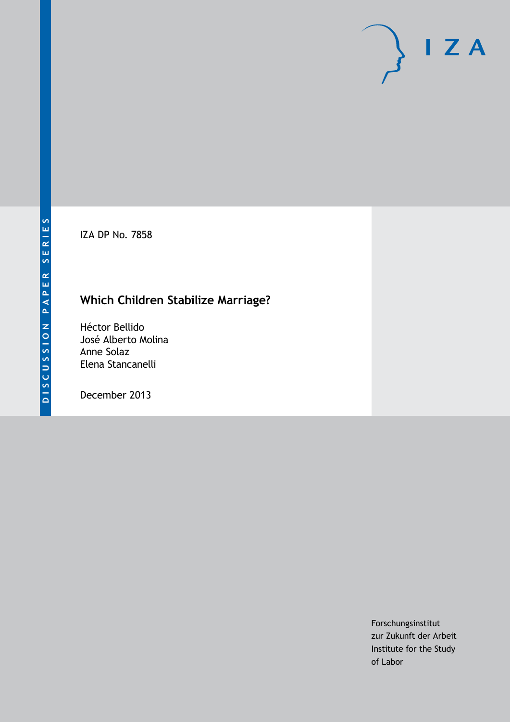IZA DP No. 7858

# **Which Children Stabilize Marriage?**

Héctor Bellido José Alberto Molina Anne Solaz Elena Stancanelli

December 2013

Forschungsinstitut zur Zukunft der Arbeit Institute for the Study of Labor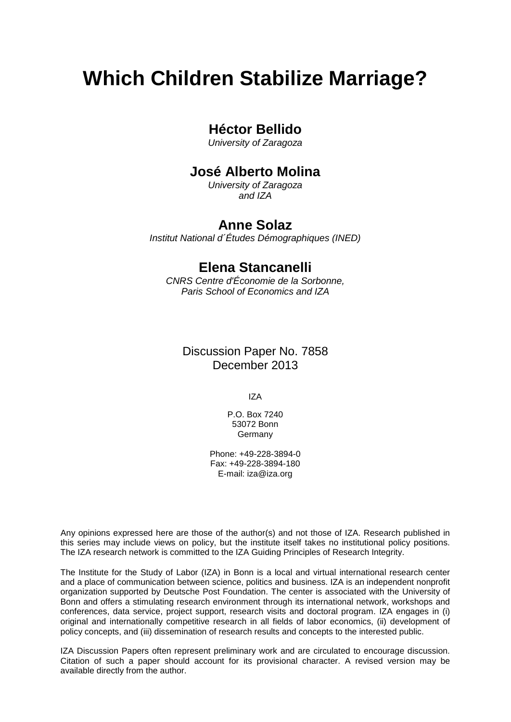# **Which Children Stabilize Marriage?**

### **Héctor Bellido**

*University of Zaragoza*

## **José Alberto Molina**

*University of Zaragoza and IZA*

### **Anne Solaz**

*Institut National d´Études Démographiques (INED)*

### **Elena Stancanelli**

*CNRS Centre d'Économie de la Sorbonne, Paris School of Economics and IZA*

### Discussion Paper No. 7858 December 2013

IZA

P.O. Box 7240 53072 Bonn **Germany** 

Phone: +49-228-3894-0 Fax: +49-228-3894-180 E-mail: [iza@iza.org](mailto:iza@iza.org)

Any opinions expressed here are those of the author(s) and not those of IZA. Research published in this series may include views on policy, but the institute itself takes no institutional policy positions. The IZA research network is committed to the IZA Guiding Principles of Research Integrity.

The Institute for the Study of Labor (IZA) in Bonn is a local and virtual international research center and a place of communication between science, politics and business. IZA is an independent nonprofit organization supported by Deutsche Post Foundation. The center is associated with the University of Bonn and offers a stimulating research environment through its international network, workshops and conferences, data service, project support, research visits and doctoral program. IZA engages in (i) original and internationally competitive research in all fields of labor economics, (ii) development of policy concepts, and (iii) dissemination of research results and concepts to the interested public.

<span id="page-1-0"></span>IZA Discussion Papers often represent preliminary work and are circulated to encourage discussion. Citation of such a paper should account for its provisional character. A revised version may be available directly from the author.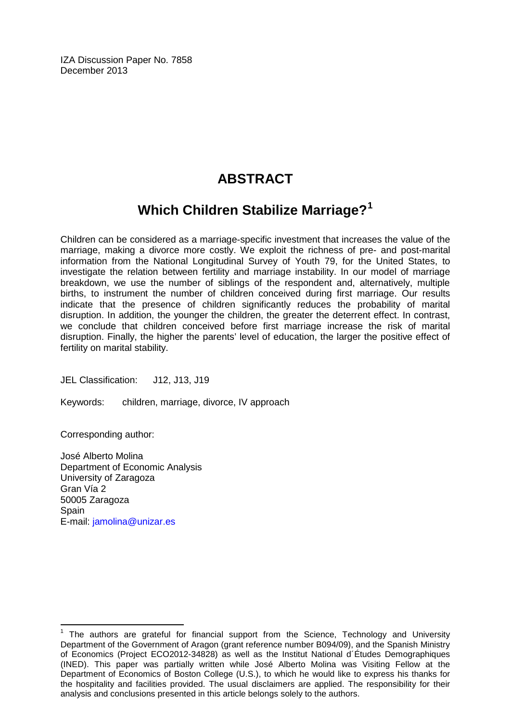IZA Discussion Paper No. 7858 December 2013

# **ABSTRACT**

# **Which Children Stabilize Marriage?[1](#page-1-0)**

Children can be considered as a marriage-specific investment that increases the value of the marriage, making a divorce more costly. We exploit the richness of pre- and post-marital information from the National Longitudinal Survey of Youth 79, for the United States, to investigate the relation between fertility and marriage instability. In our model of marriage breakdown, we use the number of siblings of the respondent and, alternatively, multiple births, to instrument the number of children conceived during first marriage. Our results indicate that the presence of children significantly reduces the probability of marital disruption. In addition, the younger the children, the greater the deterrent effect. In contrast, we conclude that children conceived before first marriage increase the risk of marital disruption. Finally, the higher the parents' level of education, the larger the positive effect of fertility on marital stability.

JEL Classification: J12, J13, J19

Keywords: children, marriage, divorce, IV approach

Corresponding author:

José Alberto Molina Department of Economic Analysis University of Zaragoza Gran Vía 2 50005 Zaragoza **Spain** E-mail: [jamolina@unizar.es](mailto:jamolina@unizar.es)

 $1$  The authors are grateful for financial support from the Science, Technology and University Department of the Government of Aragon (grant reference number B094/09), and the Spanish Ministry of Economics (Project ECO2012-34828) as well as the Institut National d´Études Demographiques (INED). This paper was partially written while José Alberto Molina was Visiting Fellow at the Department of Economics of Boston College (U.S.), to which he would like to express his thanks for the hospitality and facilities provided. The usual disclaimers are applied. The responsibility for their analysis and conclusions presented in this article belongs solely to the authors.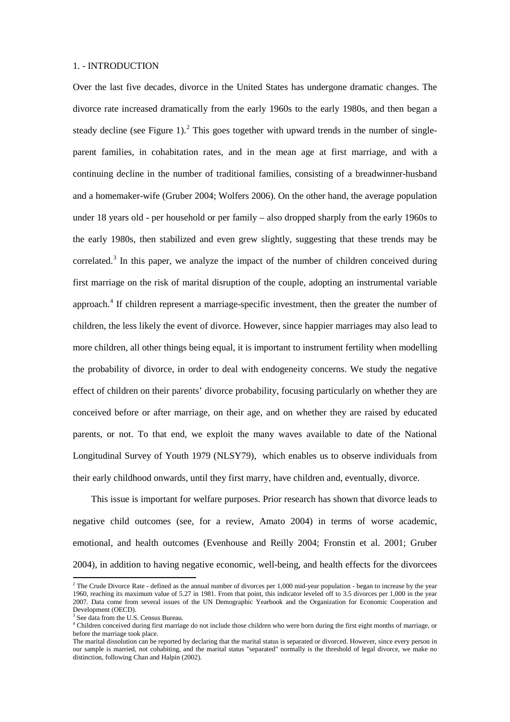#### 1. - INTRODUCTION

Over the last five decades, divorce in the United States has undergone dramatic changes. The divorce rate increased dramatically from the early 1960s to the early 1980s, and then began a steady decline (see Figure 1).<sup>2</sup> This goes together with upward trends in the number of singleparent families, in cohabitation rates, and in the mean age at first marriage, and with a continuing decline in the number of traditional families, consisting of a breadwinner-husband and a homemaker-wife (Gruber 2004; Wolfers 2006). On the other hand, the average population under 18 years old - per household or per family – also dropped sharply from the early 1960s to the early 1980s, then stabilized and even grew slightly, suggesting that these trends may be correlated.<sup>[3](#page-3-0)</sup> In this paper, we analyze the impact of the number of children conceived during first marriage on the risk of marital disruption of the couple, adopting an instrumental variable approach.<sup>[4](#page-3-1)</sup> If children represent a marriage-specific investment, then the greater the number of children, the less likely the event of divorce. However, since happier marriages may also lead to more children, all other things being equal, it is important to instrument fertility when modelling the probability of divorce, in order to deal with endogeneity concerns. We study the negative effect of children on their parents' divorce probability, focusing particularly on whether they are conceived before or after marriage, on their age, and on whether they are raised by educated parents, or not. To that end, we exploit the many waves available to date of the National Longitudinal Survey of Youth 1979 (NLSY79), which enables us to observe individuals from their early childhood onwards, until they first marry, have children and, eventually, divorce.

This issue is important for welfare purposes. Prior research has shown that divorce leads to negative child outcomes (see, for a review, Amato 2004) in terms of worse academic, emotional, and health outcomes (Evenhouse and Reilly 2004; Fronstin et al. 2001; Gruber 2004), in addition to having negative economic, well-being, and health effects for the divorcees

 $\overline{\phantom{a}}$ 

<span id="page-3-2"></span> $2$  The Crude Divorce Rate - defined as the annual number of divorces per 1,000 mid-year population - began to increase by the year 1960, reaching its maximum value of 5.27 in 1981. From that point, this indicator leveled off to 3.5 divorces per 1,000 in the year 2007. Data come from several issues of the UN Demographic Yearbook and the [Organization](http://www.investorwords.com/3504/organization.html) for [Economic](http://www.investorguide.com/definition/economic.html) Cooperation and Development (OECD).

<span id="page-3-0"></span><sup>&</sup>lt;sup>3</sup> See data from the U.S. Census Bureau.

<span id="page-3-1"></span><sup>&</sup>lt;sup>4</sup> Children conceived during first marriage do not include those children who were born during the first eight months of marriage, or before the marriage took place.

The marital dissolution can be reported by declaring that the marital status is separated or divorced. However, since every person in our sample is married, not cohabiting, and the marital status "separated" normally is the threshold of legal divorce, we make no distinction, following Chan and Halpin (2002).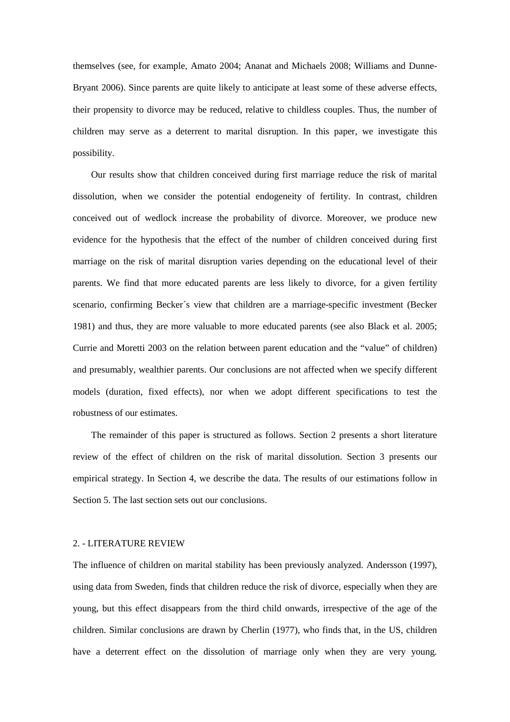themselves (see, for example, Amato 2004; Ananat and Michaels 2008; Williams and Dunne-Bryant 2006). Since parents are quite likely to anticipate at least some of these adverse effects, their propensity to divorce may be reduced, relative to childless couples. Thus, the number of children may serve as a deterrent to marital disruption. In this paper, we investigate this possibility.

Our results show that children conceived during first marriage reduce the risk of marital dissolution, when we consider the potential endogeneity of fertility. In contrast, children conceived out of wedlock increase the probability of divorce. Moreover, we produce new evidence for the hypothesis that the effect of the number of children conceived during first marriage on the risk of marital disruption varies depending on the educational level of their parents. We find that more educated parents are less likely to divorce, for a given fertility scenario, confirming Becker´s view that children are a marriage-specific investment (Becker 1981) and thus, they are more valuable to more educated parents (see also Black et al. 2005; Currie and Moretti 2003 on the relation between parent education and the "value" of children) and presumably, wealthier parents. Our conclusions are not affected when we specify different models (duration, fixed effects), nor when we adopt different specifications to test the robustness of our estimates.

The remainder of this paper is structured as follows. Section 2 presents a short literature review of the effect of children on the risk of marital dissolution. Section 3 presents our empirical strategy. In Section 4, we describe the data. The results of our estimations follow in Section 5. The last section sets out our conclusions.

#### 2. - LITERATURE REVIEW

The influence of children on marital stability has been previously analyzed. Andersson (1997), using data from Sweden, finds that children reduce the risk of divorce, especially when they are young, but this effect disappears from the third child onwards, irrespective of the age of the children. Similar conclusions are drawn by Cherlin (1977), who finds that, in the US, children have a deterrent effect on the dissolution of marriage only when they are very young.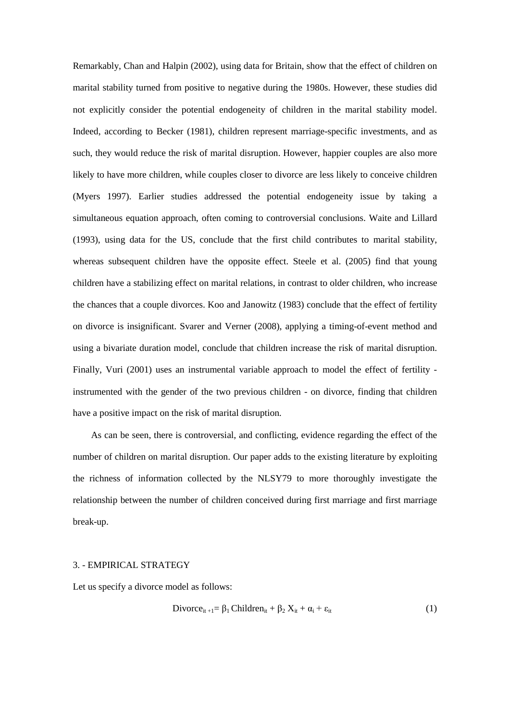Remarkably, Chan and Halpin (2002), using data for Britain, show that the effect of children on marital stability turned from positive to negative during the 1980s. However, these studies did not explicitly consider the potential endogeneity of children in the marital stability model. Indeed, according to Becker (1981), children represent marriage-specific investments, and as such, they would reduce the risk of marital disruption. However, happier couples are also more likely to have more children, while couples closer to divorce are less likely to conceive children (Myers 1997). Earlier studies addressed the potential endogeneity issue by taking a simultaneous equation approach, often coming to controversial conclusions. Waite and Lillard (1993), using data for the US, conclude that the first child contributes to marital stability, whereas subsequent children have the opposite effect. Steele et al. (2005) find that young children have a stabilizing effect on marital relations, in contrast to older children, who increase the chances that a couple divorces. Koo and Janowitz (1983) conclude that the effect of fertility on divorce is insignificant. Svarer and Verner (2008), applying a timing-of-event method and using a bivariate duration model, conclude that children increase the risk of marital disruption. Finally, Vuri (2001) uses an instrumental variable approach to model the effect of fertility instrumented with the gender of the two previous children - on divorce, finding that children have a positive impact on the risk of marital disruption.

As can be seen, there is controversial, and conflicting, evidence regarding the effect of the number of children on marital disruption. Our paper adds to the existing literature by exploiting the richness of information collected by the NLSY79 to more thoroughly investigate the relationship between the number of children conceived during first marriage and first marriage break-up.

#### 3. - EMPIRICAL STRATEGY

Let us specify a divorce model as follows:

$$
Divorce_{it+1} = \beta_1 Children_{it} + \beta_2 X_{it} + \alpha_i + \varepsilon_{it}
$$
 (1)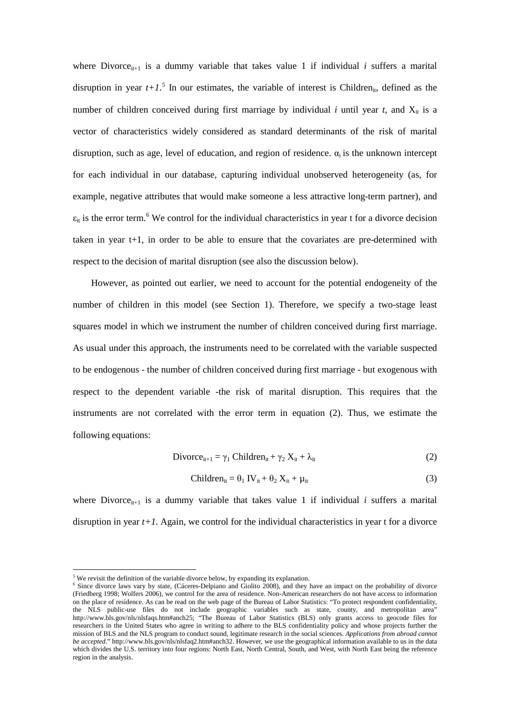where Divorce $_{it+1}$  is a dummy variable that takes value 1 if individual *i* suffers a marital disruption in year  $t+1$ <sup>[5](#page-3-2)</sup>. In our estimates, the variable of interest is Children<sub>it</sub>, defined as the number of children conceived during first marriage by individual *i* until year *t*, and  $X_{it}$  is a vector of characteristics widely considered as standard determinants of the risk of marital disruption, such as age, level of education, and region of residence.  $\alpha_i$  is the unknown intercept for each individual in our database, capturing individual unobserved heterogeneity (as, for example, negative attributes that would make someone a less attractive long-term partner), and  $\varepsilon_{it}$  is the error term.<sup>[6](#page-6-0)</sup> We control for the individual characteristics in year t for a divorce decision taken in year t+1, in order to be able to ensure that the covariates are pre-determined with respect to the decision of marital disruption (see also the discussion below).

However, as pointed out earlier, we need to account for the potential endogeneity of the number of children in this model (see Section 1). Therefore, we specify a two-stage least squares model in which we instrument the number of children conceived during first marriage. As usual under this approach, the instruments need to be correlated with the variable suspected to be endogenous - the number of children conceived during first marriage - but exogenous with respect to the dependent variable -the risk of marital disruption. This requires that the instruments are not correlated with the error term in equation (2). Thus, we estimate the following equations:

$$
\text{Divorce}_{it+1} = \gamma_1 \text{ Children}_{it} + \gamma_2 \text{ X}_{it} + \lambda_{it} \tag{2}
$$

$$
Children_{it} = \theta_1 IV_{it} + \theta_2 X_{it} + \mu_{it}
$$
 (3)

where Divorce<sub>it+1</sub> is a dummy variable that takes value 1 if individual  $i$  suffers a marital disruption in year *t+1*. Again, we control for the individual characteristics in year t for a divorce

**.** 

We revisit the definition of the variable divorce below, by expanding its explanation.

<span id="page-6-1"></span><span id="page-6-0"></span><sup>&</sup>lt;sup>6</sup> Since divorce laws vary by state, (Cáceres-Delpiano and Giolito 2008), and they have an impact on the probability of divorce (Friedberg 1998; Wolfers 2006), we control for the area of residence. Non-American researchers do not have access to information on the place of residence. As can be read on the web page of the Bureau of Labor Statistics: "To protect respondent confidentiality, the NLS public-use files do not include geographic variables such as state, county, and metropolitan area" http://www.bls.gov/nls/nlsfaqs.htm#anch25; "The Bureau of Labor Statistics (BLS) only grants access to geocode files for researchers in the United States who agree in writing to adhere to the BLS confidentiality policy and whose projects further the mission of BLS and the NLS program to conduct sound, legitimate research in the social sciences. *Applications from abroad cannot be accepted*." http://www.bls.gov/nls/nlsfaq2.htm#anch32. However, we use the geographical information available to us in the data which divides the U.S. territory into four regions: North East, North Central, South, and West, with North East being the reference region in the analysis.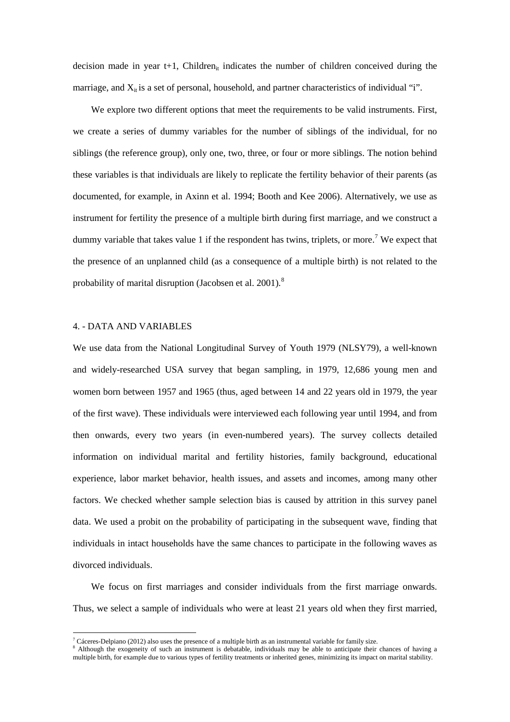decision made in year  $t+1$ , Children<sub>it</sub> indicates the number of children conceived during the marriage, and  $X_{it}$  is a set of personal, household, and partner characteristics of individual "i".

We explore two different options that meet the requirements to be valid instruments. First, we create a series of dummy variables for the number of siblings of the individual, for no siblings (the reference group), only one, two, three, or four or more siblings. The notion behind these variables is that individuals are likely to replicate the fertility behavior of their parents (as documented, for example, in Axinn et al. 1994; Booth and Kee 2006). Alternatively, we use as instrument for fertility the presence of a multiple birth during first marriage, and we construct a dummy variable that takes value 1 if the respondent has twins, triplets, or more.<sup>[7](#page-6-1)</sup> We expect that the presence of an unplanned child (as a consequence of a multiple birth) is not related to the probability of marital disruption (Jacobsen et al.  $2001$ ).<sup>[8](#page-7-0)</sup>

#### 4. - DATA AND VARIABLES

 $\overline{\phantom{a}}$ 

We use data from the National Longitudinal Survey of Youth 1979 (NLSY79), a well-known and widely-researched USA survey that began sampling, in 1979, 12,686 young men and women born between 1957 and 1965 (thus, aged between 14 and 22 years old in 1979, the year of the first wave). These individuals were interviewed each following year until 1994, and from then onwards, every two years (in even-numbered years). The survey collects detailed information on individual marital and fertility histories, family background, educational experience, labor market behavior, health issues, and assets and incomes, among many other factors. We checked whether sample selection bias is caused by attrition in this survey panel data. We used a probit on the probability of participating in the subsequent wave, finding that individuals in intact households have the same chances to participate in the following waves as divorced individuals.

We focus on first marriages and consider individuals from the first marriage onwards. Thus, we select a sample of individuals who were at least 21 years old when they first married,

<sup>&</sup>lt;sup>7</sup> Cáceres-Delpiano (2012) also uses the presence of a multiple birth as an instrumental variable for family size.

<span id="page-7-0"></span><sup>&</sup>lt;sup>8</sup> Although the exogeneity of such an instrument is debatable, individuals may be able to anticipate their chances of having a multiple birth, for example due to various types of fertility treatments or inherited genes, minimizing its impact on marital stability.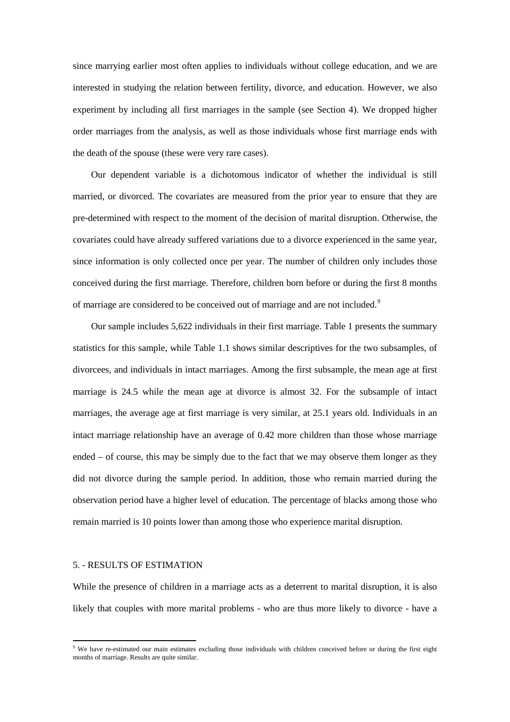since marrying earlier most often applies to individuals without college education, and we are interested in studying the relation between fertility, divorce, and education. However, we also experiment by including all first marriages in the sample (see Section 4). We dropped higher order marriages from the analysis, as well as those individuals whose first marriage ends with the death of the spouse (these were very rare cases).

Our dependent variable is a dichotomous indicator of whether the individual is still married, or divorced. The covariates are measured from the prior year to ensure that they are pre-determined with respect to the moment of the decision of marital disruption. Otherwise, the covariates could have already suffered variations due to a divorce experienced in the same year, since information is only collected once per year. The number of children only includes those conceived during the first marriage. Therefore, children born before or during the first 8 months of marriage are considered to be conceived out of marriage and are not included.<sup>[9](#page-7-0)</sup>

Our sample includes 5,622 individuals in their first marriage. Table 1 presents the summary statistics for this sample, while Table 1.1 shows similar descriptives for the two subsamples, of divorcees, and individuals in intact marriages. Among the first subsample, the mean age at first marriage is 24.5 while the mean age at divorce is almost 32. For the subsample of intact marriages, the average age at first marriage is very similar, at 25.1 years old. Individuals in an intact marriage relationship have an average of 0.42 more children than those whose marriage ended – of course, this may be simply due to the fact that we may observe them longer as they did not divorce during the sample period. In addition, those who remain married during the observation period have a higher level of education. The percentage of blacks among those who remain married is 10 points lower than among those who experience marital disruption.

#### 5. - RESULTS OF ESTIMATION

<span id="page-8-0"></span>**.** 

While the presence of children in a marriage acts as a deterrent to marital disruption, it is also likely that couples with more marital problems - who are thus more likely to divorce - have a

<sup>&</sup>lt;sup>9</sup> We have re-estimated our main estimates excluding those individuals with children conceived before or during the first eight months of marriage. Results are quite similar.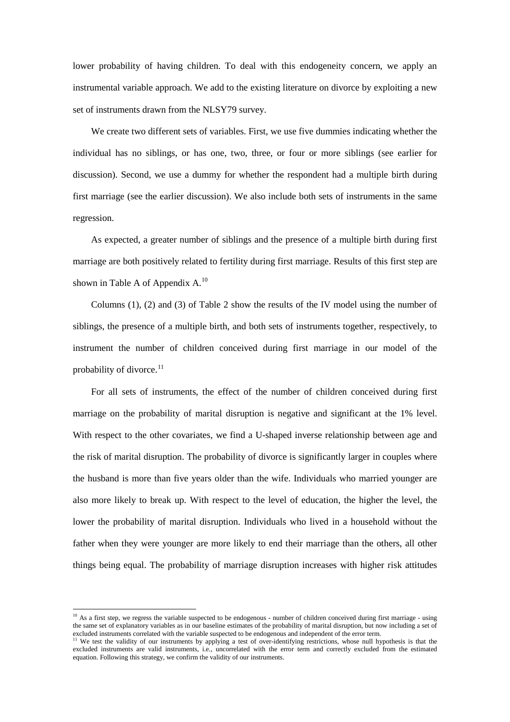lower probability of having children. To deal with this endogeneity concern, we apply an instrumental variable approach. We add to the existing literature on divorce by exploiting a new set of instruments drawn from the NLSY79 survey.

We create two different sets of variables. First, we use five dummies indicating whether the individual has no siblings, or has one, two, three, or four or more siblings (see earlier for discussion). Second, we use a dummy for whether the respondent had a multiple birth during first marriage (see the earlier discussion). We also include both sets of instruments in the same regression.

As expected, a greater number of siblings and the presence of a multiple birth during first marriage are both positively related to fertility during first marriage. Results of this first step are shown in Table A of Appendix  $A^{10}$  $A^{10}$  $A^{10}$ .

Columns (1), (2) and (3) of Table 2 show the results of the IV model using the number of siblings, the presence of a multiple birth, and both sets of instruments together, respectively, to instrument the number of children conceived during first marriage in our model of the probability of divorce.<sup>[11](#page-9-0)</sup>

For all sets of instruments, the effect of the number of children conceived during first marriage on the probability of marital disruption is negative and significant at the 1% level. With respect to the other covariates, we find a U-shaped inverse relationship between age and the risk of marital disruption. The probability of divorce is significantly larger in couples where the husband is more than five years older than the wife. Individuals who married younger are also more likely to break up. With respect to the level of education, the higher the level, the lower the probability of marital disruption. Individuals who lived in a household without the father when they were younger are more likely to end their marriage than the others, all other things being equal. The probability of marriage disruption increases with higher risk attitudes

**.** 

 $10$  As a first step, we regress the variable suspected to be endogenous - number of children conceived during first marriage - using the same set of explanatory variables as in our baseline estimates of the probability of marital disruption, but now including a set of excluded instruments correlated with the variable suspected to be endogenous and indep

<span id="page-9-1"></span><span id="page-9-0"></span><sup>&</sup>lt;sup>11</sup> We test the validity of our instruments by applying a test of over-identifying restrictions, whose null hypothesis is that the excluded instruments are valid instruments, i.e., uncorrelated with the error term and correctly excluded from the estimated equation. Following this strategy, we confirm the validity of our instruments.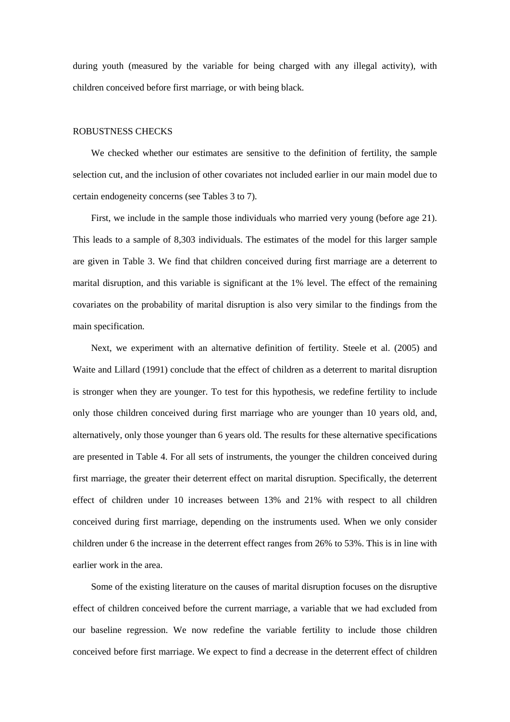during youth (measured by the variable for being charged with any illegal activity), with children conceived before first marriage, or with being black.

#### ROBUSTNESS CHECKS

We checked whether our estimates are sensitive to the definition of fertility, the sample selection cut, and the inclusion of other covariates not included earlier in our main model due to certain endogeneity concerns (see Tables 3 to 7).

First, we include in the sample those individuals who married very young (before age 21). This leads to a sample of 8,303 individuals. The estimates of the model for this larger sample are given in Table 3. We find that children conceived during first marriage are a deterrent to marital disruption, and this variable is significant at the 1% level. The effect of the remaining covariates on the probability of marital disruption is also very similar to the findings from the main specification.

Next, we experiment with an alternative definition of fertility. Steele et al. (2005) and Waite and Lillard (1991) conclude that the effect of children as a deterrent to marital disruption is stronger when they are younger. To test for this hypothesis, we redefine fertility to include only those children conceived during first marriage who are younger than 10 years old, and, alternatively, only those younger than 6 years old. The results for these alternative specifications are presented in Table 4. For all sets of instruments, the younger the children conceived during first marriage, the greater their deterrent effect on marital disruption. Specifically, the deterrent effect of children under 10 increases between 13% and 21% with respect to all children conceived during first marriage, depending on the instruments used. When we only consider children under 6 the increase in the deterrent effect ranges from 26% to 53%. This is in line with earlier work in the area.

Some of the existing literature on the causes of marital disruption focuses on the disruptive effect of children conceived before the current marriage, a variable that we had excluded from our baseline regression. We now redefine the variable fertility to include those children conceived before first marriage. We expect to find a decrease in the deterrent effect of children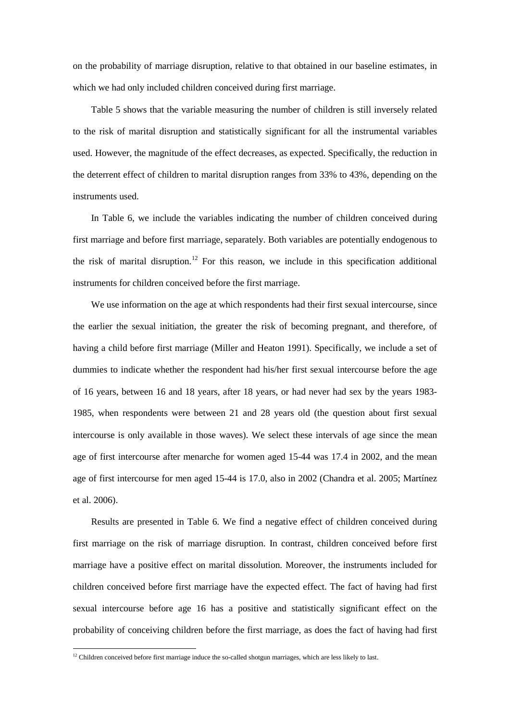on the probability of marriage disruption, relative to that obtained in our baseline estimates, in which we had only included children conceived during first marriage.

Table 5 shows that the variable measuring the number of children is still inversely related to the risk of marital disruption and statistically significant for all the instrumental variables used. However, the magnitude of the effect decreases, as expected. Specifically, the reduction in the deterrent effect of children to marital disruption ranges from 33% to 43%, depending on the instruments used.

In Table 6, we include the variables indicating the number of children conceived during first marriage and before first marriage, separately. Both variables are potentially endogenous to the risk of marital disruption. [12](#page-9-1) For this reason, we include in this specification additional instruments for children conceived before the first marriage.

We use information on the age at which respondents had their first sexual intercourse, since the earlier the sexual initiation, the greater the risk of becoming pregnant, and therefore, of having a child before first marriage (Miller and Heaton 1991). Specifically, we include a set of dummies to indicate whether the respondent had his/her first sexual intercourse before the age of 16 years, between 16 and 18 years, after 18 years, or had never had sex by the years 1983- 1985, when respondents were between 21 and 28 years old (the question about first sexual intercourse is only available in those waves). We select these intervals of age since the mean age of first intercourse after menarche for women aged 15-44 was 17.4 in 2002, and the mean age of first intercourse for men aged 15-44 is 17.0, also in 2002 (Chandra et al. 2005; Martínez et al. 2006).

Results are presented in Table 6. We find a negative effect of children conceived during first marriage on the risk of marriage disruption. In contrast, children conceived before first marriage have a positive effect on marital dissolution. Moreover, the instruments included for children conceived before first marriage have the expected effect. The fact of having had first sexual intercourse before age 16 has a positive and statistically significant effect on the probability of conceiving children before the first marriage, as does the fact of having had first

<span id="page-11-0"></span> $\overline{\phantom{a}}$ 

 $12$  Children conceived before first marriage induce the so-called shotgun marriages, which are less likely to last.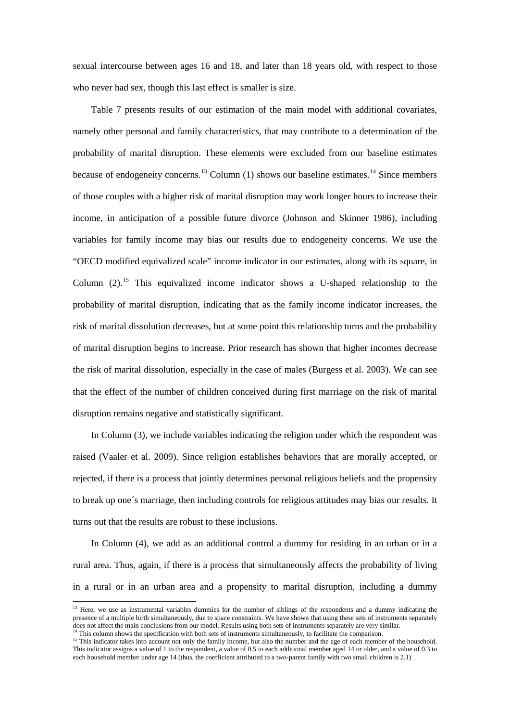sexual intercourse between ages 16 and 18, and later than 18 years old, with respect to those who never had sex, though this last effect is smaller is size.

Table 7 presents results of our estimation of the main model with additional covariates, namely other personal and family characteristics, that may contribute to a determination of the probability of marital disruption. These elements were excluded from our baseline estimates because of endogeneity concerns.<sup>[13](#page-11-0)</sup> Column (1) shows our baseline estimates.<sup>[14](#page-12-0)</sup> Since members of those couples with a higher risk of marital disruption may work longer hours to increase their income, in anticipation of a possible future divorce (Johnson and Skinner 1986), including variables for family income may bias our results due to endogeneity concerns. We use the "OECD modified equivalized scale" income indicator in our estimates, along with its square, in Column  $(2)$ .<sup>[15](#page-12-1)</sup> This equivalized income indicator shows a U-shaped relationship to the probability of marital disruption, indicating that as the family income indicator increases, the risk of marital dissolution decreases, but at some point this relationship turns and the probability of marital disruption begins to increase. Prior research has shown that higher incomes decrease the risk of marital dissolution, especially in the case of males (Burgess et al. 2003). We can see that the effect of the number of children conceived during first marriage on the risk of marital disruption remains negative and statistically significant.

In Column (3), we include variables indicating the religion under which the respondent was raised (Vaaler et al. 2009). Since religion establishes behaviors that are morally accepted, or rejected, if there is a process that jointly determines personal religious beliefs and the propensity to break up one´s marriage, then including controls for religious attitudes may bias our results. It turns out that the results are robust to these inclusions.

In Column (4), we add as an additional control a dummy for residing in an urban or in a rural area. Thus, again, if there is a process that simultaneously affects the probability of living in a rural or in an urban area and a propensity to marital disruption, including a dummy

1

 $<sup>13</sup>$  Here, we use as instrumental variables dummies for the number of siblings of the respondents and a dummy indicating the</sup> presence of a multiple birth simultaneously, due to space constraints. We have shown that using these sets of instruments separately does not affect the main conclusions from our model. Results using both sets of instruments separately are very similar.<br><sup>14</sup> This column shows the specification with both sets of instruments simultaneously, to facilitate

<span id="page-12-2"></span><span id="page-12-1"></span><span id="page-12-0"></span><sup>&</sup>lt;sup>15</sup> This indicator takes into account not only the family income, but also the number and the age of each member of the household. This indicator assigns a value of 1 to the respondent, a value of 0.5 to each additional member aged 14 or older, and a value of 0.3 to each household member under age 14 (thus, the coefficient attributed to a two-parent family with two small children is 2.1)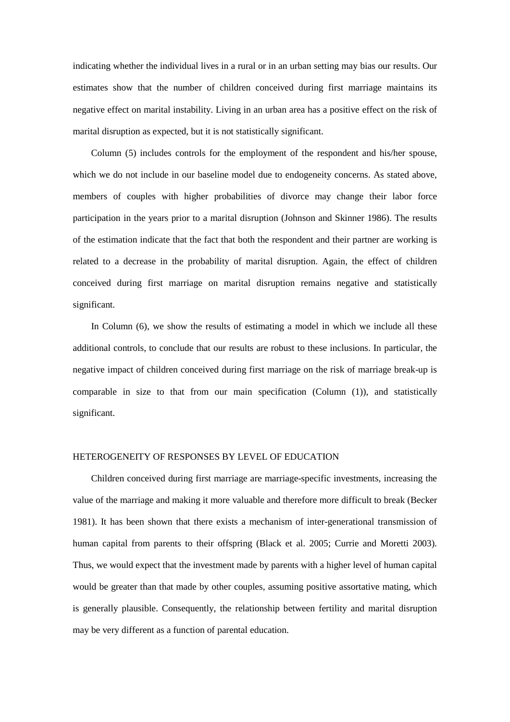indicating whether the individual lives in a rural or in an urban setting may bias our results. Our estimates show that the number of children conceived during first marriage maintains its negative effect on marital instability. Living in an urban area has a positive effect on the risk of marital disruption as expected, but it is not statistically significant.

Column (5) includes controls for the employment of the respondent and his/her spouse, which we do not include in our baseline model due to endogeneity concerns. As stated above, members of couples with higher probabilities of divorce may change their labor force participation in the years prior to a marital disruption (Johnson and Skinner 1986). The results of the estimation indicate that the fact that both the respondent and their partner are working is related to a decrease in the probability of marital disruption. Again, the effect of children conceived during first marriage on marital disruption remains negative and statistically significant.

In Column (6), we show the results of estimating a model in which we include all these additional controls, to conclude that our results are robust to these inclusions. In particular, the negative impact of children conceived during first marriage on the risk of marriage break-up is comparable in size to that from our main specification (Column (1)), and statistically significant.

#### HETEROGENEITY OF RESPONSES BY LEVEL OF EDUCATION

Children conceived during first marriage are marriage-specific investments, increasing the value of the marriage and making it more valuable and therefore more difficult to break (Becker 1981). It has been shown that there exists a mechanism of inter-generational transmission of human capital from parents to their offspring (Black et al. 2005; Currie and Moretti 2003). Thus, we would expect that the investment made by parents with a higher level of human capital would be greater than that made by other couples, assuming positive assortative mating, which is generally plausible. Consequently, the relationship between fertility and marital disruption may be very different as a function of parental education.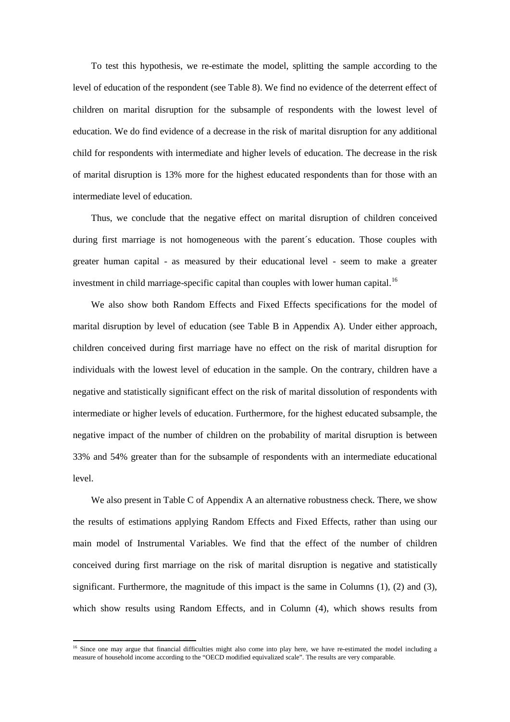To test this hypothesis, we re-estimate the model, splitting the sample according to the level of education of the respondent (see Table 8). We find no evidence of the deterrent effect of children on marital disruption for the subsample of respondents with the lowest level of education. We do find evidence of a decrease in the risk of marital disruption for any additional child for respondents with intermediate and higher levels of education. The decrease in the risk of marital disruption is 13% more for the highest educated respondents than for those with an intermediate level of education.

Thus, we conclude that the negative effect on marital disruption of children conceived during first marriage is not homogeneous with the parent´s education. Those couples with greater human capital - as measured by their educational level - seem to make a greater investment in child marriage-specific capital than couples with lower human capital.<sup>[16](#page-12-2)</sup>

We also show both Random Effects and Fixed Effects specifications for the model of marital disruption by level of education (see Table B in Appendix A). Under either approach, children conceived during first marriage have no effect on the risk of marital disruption for individuals with the lowest level of education in the sample. On the contrary, children have a negative and statistically significant effect on the risk of marital dissolution of respondents with intermediate or higher levels of education. Furthermore, for the highest educated subsample, the negative impact of the number of children on the probability of marital disruption is between 33% and 54% greater than for the subsample of respondents with an intermediate educational level.

We also present in Table C of Appendix A an alternative robustness check. There, we show the results of estimations applying Random Effects and Fixed Effects, rather than using our main model of Instrumental Variables. We find that the effect of the number of children conceived during first marriage on the risk of marital disruption is negative and statistically significant. Furthermore, the magnitude of this impact is the same in Columns  $(1)$ ,  $(2)$  and  $(3)$ , which show results using Random Effects, and in Column (4), which shows results from

**.** 

<span id="page-14-0"></span><sup>&</sup>lt;sup>16</sup> Since one may argue that financial difficulties might also come into play here, we have re-estimated the model including a measure of household income according to the "OECD modified equivalized scale". The results are very comparable.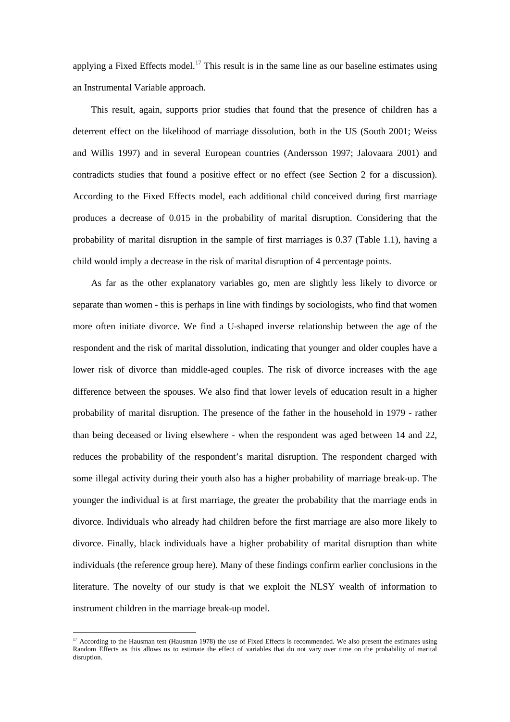applying a Fixed Effects model.<sup>[17](#page-14-0)</sup> This result is in the same line as our baseline estimates using an Instrumental Variable approach.

This result, again, supports prior studies that found that the presence of children has a deterrent effect on the likelihood of marriage dissolution, both in the US (South 2001; Weiss and Willis 1997) and in several European countries (Andersson 1997; Jalovaara 2001) and contradicts studies that found a positive effect or no effect (see Section 2 for a discussion). According to the Fixed Effects model, each additional child conceived during first marriage produces a decrease of 0.015 in the probability of marital disruption. Considering that the probability of marital disruption in the sample of first marriages is 0.37 (Table 1.1), having a child would imply a decrease in the risk of marital disruption of 4 percentage points.

As far as the other explanatory variables go, men are slightly less likely to divorce or separate than women - this is perhaps in line with findings by sociologists, who find that women more often initiate divorce. We find a U-shaped inverse relationship between the age of the respondent and the risk of marital dissolution, indicating that younger and older couples have a lower risk of divorce than middle-aged couples. The risk of divorce increases with the age difference between the spouses. We also find that lower levels of education result in a higher probability of marital disruption. The presence of the father in the household in 1979 - rather than being deceased or living elsewhere - when the respondent was aged between 14 and 22, reduces the probability of the respondent's marital disruption. The respondent charged with some illegal activity during their youth also has a higher probability of marriage break-up. The younger the individual is at first marriage, the greater the probability that the marriage ends in divorce. Individuals who already had children before the first marriage are also more likely to divorce. Finally, black individuals have a higher probability of marital disruption than white individuals (the reference group here). Many of these findings confirm earlier conclusions in the literature. The novelty of our study is that we exploit the NLSY wealth of information to instrument children in the marriage break-up model.

 $\overline{\phantom{a}}$ 

 $17$  According to the Hausman test (Hausman 1978) the use of Fixed Effects is recommended. We also present the estimates using Random Effects as this allows us to estimate the effect of variables that do not vary over time on the probability of marital disruption.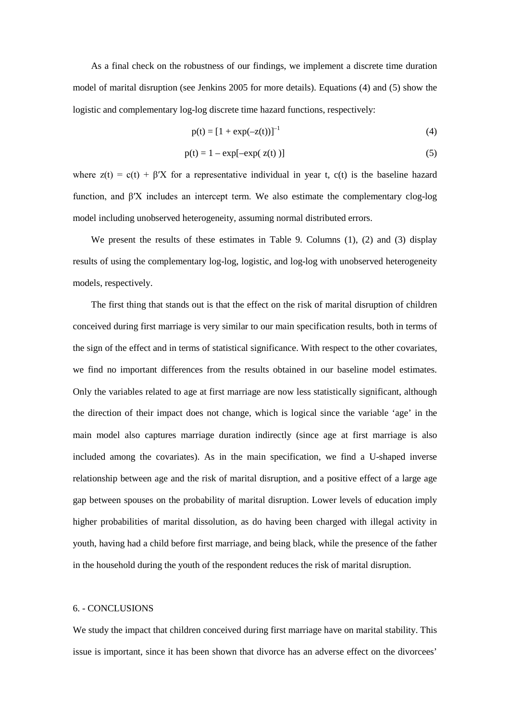As a final check on the robustness of our findings, we implement a discrete time duration model of marital disruption (see Jenkins 2005 for more details). Equations (4) and (5) show the logistic and complementary log-log discrete time hazard functions, respectively:

$$
p(t) = [1 + \exp(-z(t))]^{-1}
$$
 (4)

$$
p(t) = 1 - \exp[-\exp(z(t))]
$$
 (5)

where  $z(t) = c(t) + \beta' X$  for a representative individual in year t,  $c(t)$  is the baseline hazard function, and β′X includes an intercept term. We also estimate the complementary clog-log model including unobserved heterogeneity, assuming normal distributed errors.

We present the results of these estimates in Table 9. Columns (1), (2) and (3) display results of using the complementary log-log, logistic, and log-log with unobserved heterogeneity models, respectively.

The first thing that stands out is that the effect on the risk of marital disruption of children conceived during first marriage is very similar to our main specification results, both in terms of the sign of the effect and in terms of statistical significance. With respect to the other covariates, we find no important differences from the results obtained in our baseline model estimates. Only the variables related to age at first marriage are now less statistically significant, although the direction of their impact does not change, which is logical since the variable 'age' in the main model also captures marriage duration indirectly (since age at first marriage is also included among the covariates). As in the main specification, we find a U-shaped inverse relationship between age and the risk of marital disruption, and a positive effect of a large age gap between spouses on the probability of marital disruption. Lower levels of education imply higher probabilities of marital dissolution, as do having been charged with illegal activity in youth, having had a child before first marriage, and being black, while the presence of the father in the household during the youth of the respondent reduces the risk of marital disruption.

#### 6. - CONCLUSIONS

We study the impact that children conceived during first marriage have on marital stability. This issue is important, since it has been shown that divorce has an adverse effect on the divorcees'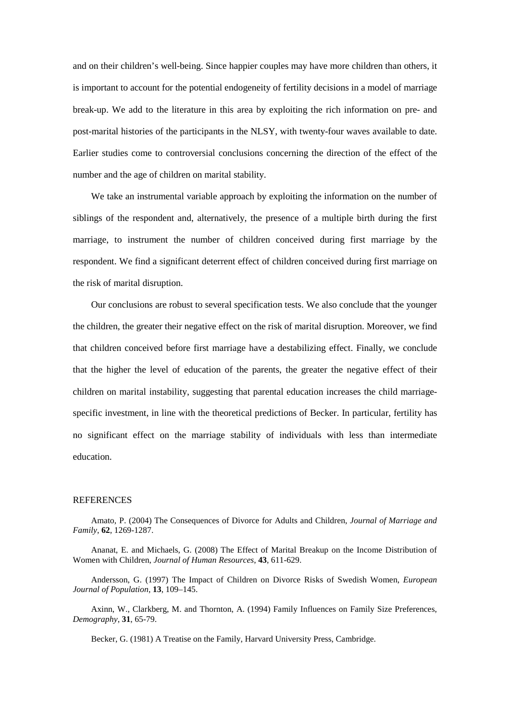and on their children's well-being. Since happier couples may have more children than others, it is important to account for the potential endogeneity of fertility decisions in a model of marriage break-up. We add to the literature in this area by exploiting the rich information on pre- and post-marital histories of the participants in the NLSY, with twenty-four waves available to date. Earlier studies come to controversial conclusions concerning the direction of the effect of the number and the age of children on marital stability.

We take an instrumental variable approach by exploiting the information on the number of siblings of the respondent and, alternatively, the presence of a multiple birth during the first marriage, to instrument the number of children conceived during first marriage by the respondent. We find a significant deterrent effect of children conceived during first marriage on the risk of marital disruption.

Our conclusions are robust to several specification tests. We also conclude that the younger the children, the greater their negative effect on the risk of marital disruption. Moreover, we find that children conceived before first marriage have a destabilizing effect. Finally, we conclude that the higher the level of education of the parents, the greater the negative effect of their children on marital instability, suggesting that parental education increases the child marriagespecific investment, in line with the theoretical predictions of Becker. In particular, fertility has no significant effect on the marriage stability of individuals with less than intermediate education.

#### REFERENCES

Amato, P. (2004) The Consequences of Divorce for Adults and Children, *Journal of Marriage and Family*, **62**, 1269-1287.

Ananat, E. and Michaels, G. (2008) The Effect of Marital Breakup on the Income Distribution of Women with Children, *Journal of Human Resources*, **43**, 611-629.

Andersson, G. (1997) The Impact of Children on Divorce Risks of Swedish Women, *European Journal of Population*, **13**, 109–145.

Axinn, W., Clarkberg, M. and Thornton, A. (1994) Family Influences on Family Size Preferences, *Demography*, **31**, 65-79.

Becker, G. (1981) A Treatise on the Family, Harvard University Press, Cambridge.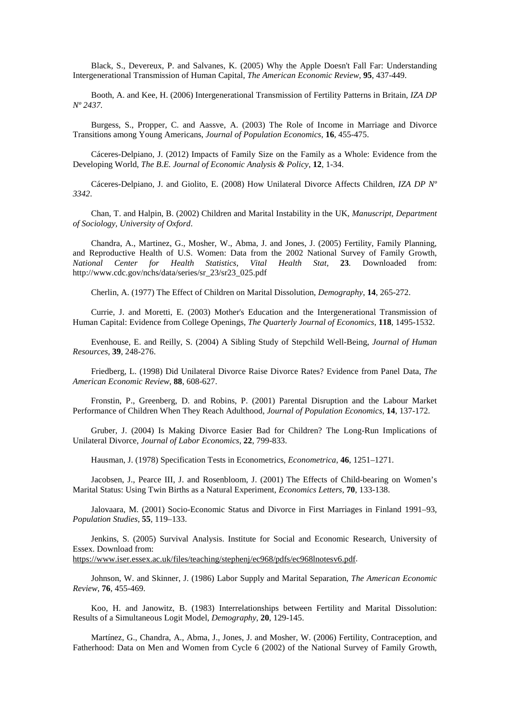Black, S., Devereux, P. and Salvanes, K. (2005) Why the Apple Doesn't Fall Far: Understanding Intergenerational Transmission of Human Capital, *The American Economic Review,* **95**, 437-449.

Booth, A. and Kee, H. (2006) Intergenerational Transmission of Fertility Patterns in Britain, *IZA DP Nº 2437.*

Burgess, S., Propper, C. and Aassve, A. (2003) The Role of Income in Marriage and Divorce Transitions among Young Americans, *[Journal of Population Economics](http://search.proquest.com.roble.unizar.es:9090/pubidlinkhandler/sng/pubtitle/Journal+of+Population+Economics/$N/31526/DocView/230419478/fulltextwithgraphics/13D53FFD80B3658AD3F/13?accountid=14795)*, **16**, 455-475.

Cáceres-Delpiano, J. (2012) [Impacts of Family Size on the Family as a Whole: Evidence from the](http://ideas.repec.org/a/bpj/bejeap/v12y2012i1n17.html)  [Developing World,](http://ideas.repec.org/a/bpj/bejeap/v12y2012i1n17.html) *[The B.E. Journal of Economic Analysis & Policy](http://ideas.repec.org/s/bpj/bejeap.html)*, **12**, 1-34.

Cáceres-Delpiano, J. and Giolito, E. (2008) How Unilateral Divorce Affects Children, *[IZA DP Nº](http://papers.ssrn.com/sol3/papers.cfm?abstract_id=1100985##) [3342](http://papers.ssrn.com/sol3/papers.cfm?abstract_id=1100985##)*.

Chan, T. and Halpin, B. (2002) Children and Marital Instability in the UK, *Manuscript, Department of Sociology, University of Oxford*.

Chandra, A., Martinez, G., Mosher, W., Abma, J. and Jones, J. (2005) Fertility, Family Planning, and Reproductive Health of U.S. Women: Data from the 2002 National Survey of Family Growth, *National Center for Health Statistics, Vital Health Stat,* **23***.* Downloaded from: http://www.cdc.gov/nchs/data/series/sr\_23/sr23\_025.pdf

Cherlin, A. (1977) The Effect of Children on Marital Dissolution, *Demography*, **14**, 265-272.

Currie, J. and Moretti, E. (2003) Mother's Education and the Intergenerational Transmission of Human Capital: Evidence from College Openings, *The Quarterly Journal of Economics*, **118**, 1495-1532.

Evenhouse, E. and Reilly, S. (2004) A Sibling Study of Stepchild Well-Being, *Journal of Human Resources*, **39**, 248-276.

Friedberg, L. (1998) Did Unilateral Divorce Raise Divorce Rates? Evidence from Panel Data, *The American Economic Review*, **88**, 608-627.

Fronstin, P., Greenberg, D. and Robins, P. (2001) Parental Disruption and the Labour Market Performance of Children When They Reach Adulthood, *Journal of Population Economics*, **14**, 137-172.

Gruber, J. (2004) Is Making Divorce Easier Bad for Children? The Long-Run Implications of Unilateral Divorce, *Journal of Labor Economics*, **22**, 799-833.

Hausman, J. (1978) Specification Tests in Econometrics, *Econometrica*, **46**, 1251–1271.

Jacobsen, J., Pearce III, J. and Rosenbloom, J. (2001) The Effects of Child-bearing on Women's Marital Status: Using Twin Births as a Natural Experiment, *Economics Letters*, **70**, 133-138.

Jalovaara, M. (2001) Socio-Economic Status and Divorce in First Marriages in Finland 1991–93, *Population Studies*, **55**, 119–133.

Jenkins, S. (2005) Survival Analysis. Institute for Social and Economic Research, University of Essex. Download from:

[https://www.iser.essex.ac.uk/files/teaching/stephenj/ec968/pdfs/ec968lnotesv6.pdf.](https://www.iser.essex.ac.uk/files/teaching/stephenj/ec968/pdfs/ec968lnotesv6.pdf)

Johnson, W. and Skinner, J. (1986) Labor Supply and Marital Separation, *The American Economic Review*, **76**, 455-469.

Koo, H. and [Janowitz,](http://link.springer.com/search?facet-author=%22Barbara+K.+Janowitz%22) B. (1983) Interrelationships between Fertility and Marital Dissolution: Results of a Simultaneous Logit Model, *Demography*, **20**, 129-145.

Martínez, G., Chandra, A., Abma, J., Jones, J. and Mosher, W. (2006) Fertility, Contraception, and Fatherhood: Data on Men and Women from Cycle 6 (2002) of the National Survey of Family Growth,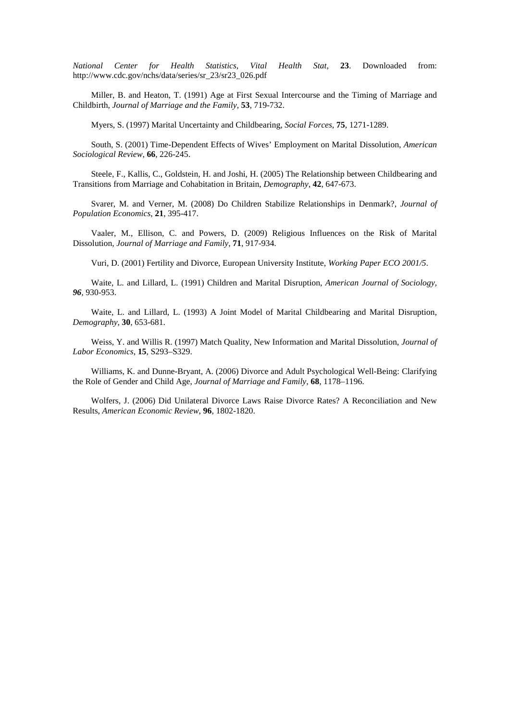*National Center for Health Statistics, Vital Health Stat,* **23**. Downloaded from: http://www.cdc.gov/nchs/data/series/sr\_23/sr23\_026.pdf

Miller, B. and Heaton, T. (1991) Age at First Sexual Intercourse and the Timing of Marriage and Childbirth, *Journal of Marriage and the Family*, **53**, 719-732.

Myers, S. (1997) Marital Uncertainty and Childbearing, *Social Forces*, **75**, 1271-1289.

South, S. (2001) Time-Dependent Effects of Wives' Employment on Marital Dissolution, *American Sociological Review*, **66**, 226-245.

[Steele,](http://link.springer.com/search?facet-author=%22Fiona+Steele%22) F., [Kallis,](http://link.springer.com/search?facet-author=%22Constantinos+Kallis%22) C., [Goldstein,](http://link.springer.com/search?facet-author=%22Harvey+Goldstein%22) H. and [Joshi,](http://link.springer.com/search?facet-author=%22Heather+Joshi%22) H. (2005) The Relationship between Childbearing and Transitions from Marriage and Cohabitation in Britain, *Demography*, **42**, 647-673.

Svarer, M. and Verner, M. (2008) Do Children Stabilize Relationships in Denmark?, *[Journal of](http://link.springer.com/journal/148)  [Population Economics](http://link.springer.com/journal/148)*, **21**, 395-417.

Vaaler, M., Ellison, C. and Powers, D. (2009) Religious Influences on the Risk of Marital Dissolution, *Journal of Marriage and Family*, **71**, 917-934.

Vuri, D. (2001) Fertility and Divorce, European University Institute, *Working Paper ECO 2001/5*.

Waite, L. and Lillard, L. (1991) Children and Marital Disruption, *American Journal of Sociology, 96,* 930-953.

Waite, L. and Lillard, L. (1993) A Joint Model of Marital Childbearing and Marital Disruption, *Demography*, **30**, 653-681.

Weiss, Y. and Willis R. (1997) Match Quality, New Information and Marital Dissolution, *Journal of Labor Economics*, **15**, S293–S329.

Williams, K. and Dunne-Bryant, A. (2006) Divorce and Adult Psychological Well-Being: Clarifying the Role of Gender and Child Age, *Journal of Marriage and Family*, **68**, 1178–1196.

Wolfers, J. (2006) Did Unilateral Divorce Laws Raise Divorce Rates? A Reconciliation and New Results, *American Economic Review*, **96**, 1802-1820.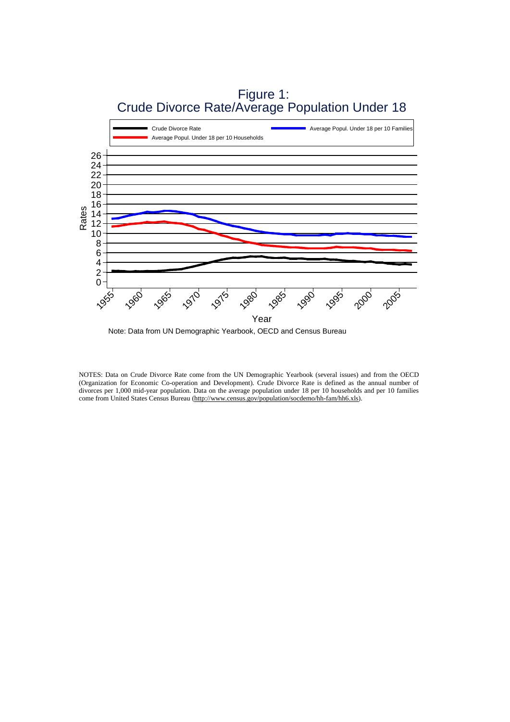

 Figure 1: Crude Divorce Rate/Average Population Under 18

Note: Data from UN Demographic Yearbook, OECD and Census Bureau

NOTES: Data on Crude Divorce Rate come from the UN Demographic Yearbook (several issues) and from the OECD (Organization for Economic Co-operation and Development). Crude Divorce Rate is defined as the annual number of divorces per 1,000 mid-year population. Data on the average population under 18 per 10 households and per 10 families come from United States Census Bureau [\(http://www.census.gov/population/socdemo/hh-fam/hh6.xls\)](http://www.census.gov/population/socdemo/hh-fam/hh6.xls).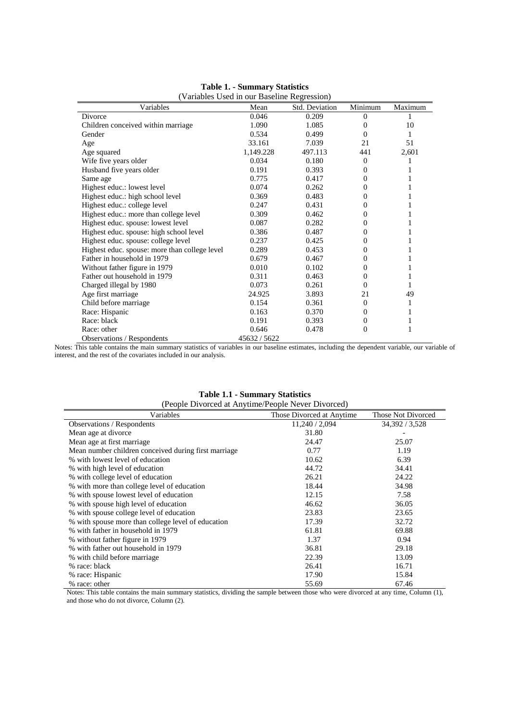| (Variables Used in our Baseline Regression)   |            |                |          |         |  |  |
|-----------------------------------------------|------------|----------------|----------|---------|--|--|
| Variables                                     | Mean       | Std. Deviation | Minimum  | Maximum |  |  |
| Divorce                                       | 0.046      | 0.209          | $\Omega$ |         |  |  |
| Children conceived within marriage            | 1.090      | 1.085          | 0        | 10      |  |  |
| Gender                                        | 0.534      | 0.499          | 0        | 1       |  |  |
| Age                                           | 33.161     | 7.039          | 21       | 51      |  |  |
| Age squared                                   | 1,149.228  | 497.113        | 441      | 2,601   |  |  |
| Wife five years older                         | 0.034      | 0.180          | $\Omega$ |         |  |  |
| Husband five years older                      | 0.191      | 0.393          | $\Omega$ |         |  |  |
| Same age                                      | 0.775      | 0.417          | 0        |         |  |  |
| Highest educ.: lowest level                   | 0.074      | 0.262          | 0        |         |  |  |
| Highest educ.: high school level              | 0.369      | 0.483          | $\Omega$ |         |  |  |
| Highest educ.: college level                  | 0.247      | 0.431          | 0        |         |  |  |
| Highest educ.: more than college level        | 0.309      | 0.462          | 0        |         |  |  |
| Highest educ. spouse: lowest level            | 0.087      | 0.282          | $\Omega$ |         |  |  |
| Highest educ. spouse: high school level       | 0.386      | 0.487          | 0        |         |  |  |
| Highest educ. spouse: college level           | 0.237      | 0.425          | 0        |         |  |  |
| Highest educ. spouse: more than college level | 0.289      | 0.453          | 0        |         |  |  |
| Father in household in 1979                   | 0.679      | 0.467          | 0        |         |  |  |
| Without father figure in 1979                 | 0.010      | 0.102          | 0        |         |  |  |
| Father out household in 1979                  | 0.311      | 0.463          | $\Omega$ |         |  |  |
| Charged illegal by 1980                       | 0.073      | 0.261          | 0        | 1       |  |  |
| Age first marriage                            | 24.925     | 3.893          | 21       | 49      |  |  |
| Child before marriage                         | 0.154      | 0.361          | $\Omega$ | 1       |  |  |
| Race: Hispanic                                | 0.163      | 0.370          | $\Omega$ |         |  |  |
| Race: black                                   | 0.191      | 0.393          | $\Omega$ | 1       |  |  |
| Race: other                                   | 0.646      | 0.478          | 0        | 1       |  |  |
| <b>Observations / Respondents</b>             | 45632/5622 |                |          |         |  |  |

| <b>Table 1. - Summary Statistics</b> |  |
|--------------------------------------|--|
|--------------------------------------|--|

Notes: This table contains the main summary statistics of variables in our baseline estimates, including the dependent variable, our variable of interest, and the rest of the covariates included in our analysis.

#### **Table 1.1 - Summary Statistics**

| (People Divorced at Anytime/People Never Divorced)   |                           |                           |  |  |  |
|------------------------------------------------------|---------------------------|---------------------------|--|--|--|
| Variables                                            | Those Divorced at Anytime | <b>Those Not Divorced</b> |  |  |  |
| Observations / Respondents                           | 11,240 / 2,094            | 34, 392 / 3, 528          |  |  |  |
| Mean age at divorce                                  | 31.80                     |                           |  |  |  |
| Mean age at first marriage.                          | 24.47                     | 25.07                     |  |  |  |
| Mean number children conceived during first marriage | 0.77                      | 1.19                      |  |  |  |
| % with lowest level of education                     | 10.62                     | 6.39                      |  |  |  |
| % with high level of education                       | 44.72                     | 34.41                     |  |  |  |
| % with college level of education                    | 26.21                     | 24.22                     |  |  |  |
| % with more than college level of education          | 18.44                     | 34.98                     |  |  |  |
| % with spouse lowest level of education              | 12.15                     | 7.58                      |  |  |  |
| % with spouse high level of education                | 46.62                     | 36.05                     |  |  |  |
| % with spouse college level of education             | 23.83                     | 23.65                     |  |  |  |
| % with spouse more than college level of education   | 17.39                     | 32.72                     |  |  |  |
| % with father in household in 1979                   | 61.81                     | 69.88                     |  |  |  |
| % without father figure in 1979                      | 1.37                      | 0.94                      |  |  |  |
| % with father out household in 1979                  | 36.81                     | 29.18                     |  |  |  |
| % with child before marriage                         | 22.39                     | 13.09                     |  |  |  |
| % race: black                                        | 26.41                     | 16.71                     |  |  |  |
| % race: Hispanic                                     | 17.90                     | 15.84                     |  |  |  |
| % race: other                                        | 55.69                     | 67.46                     |  |  |  |

Notes: This table contains the main summary statistics, dividing the sample between those who were divorced at any time, Column (1), and those who do not divorce, Column (2).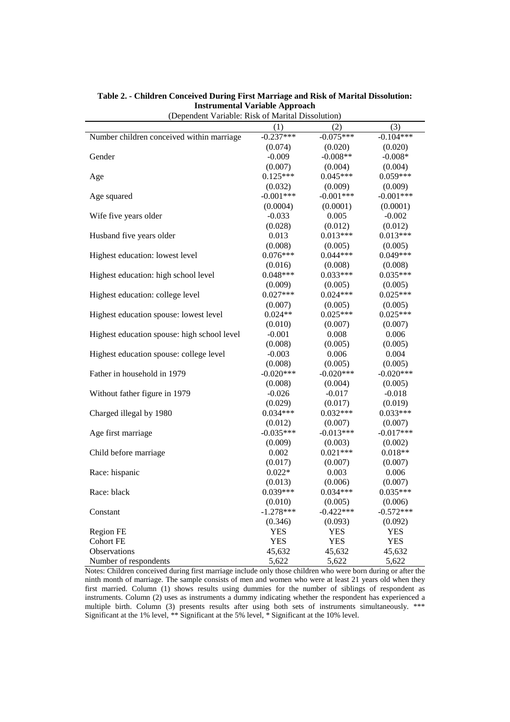| $(Depenach$ , and $P$ . Rok of Manual Dissolution, |             |             |             |
|----------------------------------------------------|-------------|-------------|-------------|
|                                                    | (1)         | (2)         | (3)         |
| Number children conceived within marriage          | $-0.237***$ | $-0.075***$ | $-0.104***$ |
|                                                    | (0.074)     | (0.020)     | (0.020)     |
| Gender                                             | $-0.009$    | $-0.008**$  | $-0.008*$   |
|                                                    | (0.007)     | (0.004)     | (0.004)     |
| Age                                                | $0.125***$  | $0.045***$  | $0.059***$  |
|                                                    | (0.032)     | (0.009)     | (0.009)     |
| Age squared                                        | $-0.001***$ | $-0.001***$ | $-0.001***$ |
|                                                    | (0.0004)    | (0.0001)    | (0.0001)    |
| Wife five years older                              | $-0.033$    | 0.005       | $-0.002$    |
|                                                    | (0.028)     | (0.012)     | (0.012)     |
| Husband five years older                           | 0.013       | $0.013***$  | $0.013***$  |
|                                                    | (0.008)     | (0.005)     | (0.005)     |
| Highest education: lowest level                    | $0.076***$  | $0.044***$  | $0.049***$  |
|                                                    | (0.016)     | (0.008)     | (0.008)     |
| Highest education: high school level               | $0.048***$  | $0.033***$  | $0.035***$  |
|                                                    | (0.009)     | (0.005)     | (0.005)     |
| Highest education: college level                   | $0.027***$  | $0.024***$  | $0.025***$  |
|                                                    | (0.007)     | (0.005)     | (0.005)     |
| Highest education spouse: lowest level             | $0.024**$   | $0.025***$  | $0.025***$  |
|                                                    | (0.010)     | (0.007)     | (0.007)     |
| Highest education spouse: high school level        | $-0.001$    | 0.008       | 0.006       |
|                                                    | (0.008)     | (0.005)     | (0.005)     |
| Highest education spouse: college level            | $-0.003$    | 0.006       | 0.004       |
|                                                    | (0.008)     | (0.005)     | (0.005)     |
| Father in household in 1979                        | $-0.020***$ | $-0.020***$ | $-0.020***$ |
|                                                    | (0.008)     | (0.004)     | (0.005)     |
| Without father figure in 1979                      | $-0.026$    | $-0.017$    | $-0.018$    |
|                                                    | (0.029)     | (0.017)     | (0.019)     |
| Charged illegal by 1980                            | $0.034***$  | $0.032***$  | $0.033***$  |
|                                                    | (0.012)     | (0.007)     | (0.007)     |
| Age first marriage                                 | $-0.035***$ | $-0.013***$ | $-0.017***$ |
|                                                    | (0.009)     | (0.003)     | (0.002)     |
| Child before marriage                              | 0.002       | $0.021***$  | $0.018**$   |
|                                                    | (0.017)     | (0.007)     | (0.007)     |
| Race: hispanic                                     | $0.022*$    | 0.003       | 0.006       |
|                                                    | (0.013)     | (0.006)     | (0.007)     |
| Race: black                                        | $0.039***$  | $0.034***$  | $0.035***$  |
|                                                    | (0.010)     | (0.005)     | (0.006)     |
| Constant                                           | $-1.278***$ | $-0.422***$ | $-0.572***$ |
|                                                    | (0.346)     | (0.093)     | (0.092)     |
| Region FE                                          | YES         | <b>YES</b>  | <b>YES</b>  |
| <b>Cohort FE</b>                                   | <b>YES</b>  | <b>YES</b>  | <b>YES</b>  |
| <b>Observations</b>                                | 45,632      | 45,632      | 45,632      |
| Number of respondents                              | 5,622       | 5,622       | 5,622       |
|                                                    |             |             |             |

**Table 2. - Children Conceived During First Marriage and Risk of Marital Dissolution: Instrumental Variable Approach** (Dependent Variable: Risk of Marital Dissolution)

Notes: Children conceived during first marriage include only those children who were born during or after the ninth month of marriage. The sample consists of men and women who were at least 21 years old when they first married. Column (1) shows results using dummies for the number of siblings of respondent as instruments. Column (2) uses as instruments a dummy indicating whether the respondent has experienced a multiple birth. Column (3) presents results after using both sets of instruments simultaneously. \*\*\* Significant at the 1% level, \*\* Significant at the 5% level, \* Significant at the 10% level.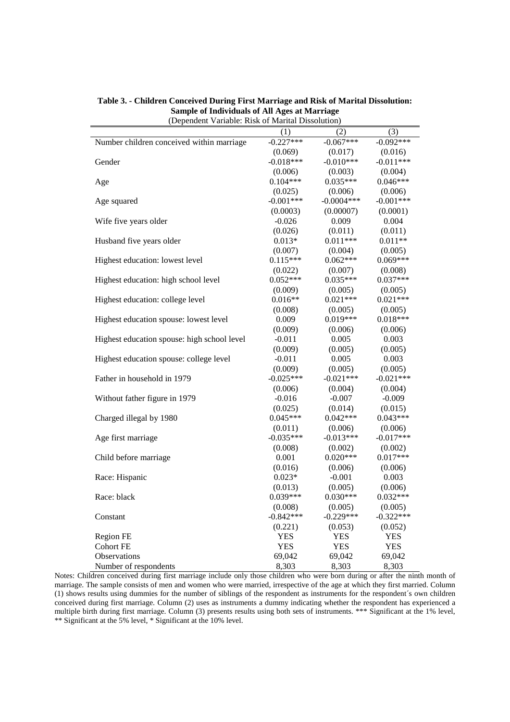| (3)<br>(1)<br>(2)                                                              |  |
|--------------------------------------------------------------------------------|--|
| $-0.227***$<br>$-0.092***$                                                     |  |
| Number children conceived within marriage<br>$-0.067***$                       |  |
| (0.069)<br>(0.017)<br>(0.016)<br>$-0.018***$<br>$-0.011***$<br>$-0.010***$     |  |
| Gender                                                                         |  |
| (0.006)<br>(0.004)<br>(0.003)                                                  |  |
| $0.046***$<br>$0.104***$<br>$0.035***$<br>Age                                  |  |
| (0.006)<br>(0.025)<br>(0.006)                                                  |  |
| $-0.001***$<br>$-0.001***$<br>$-0.0004***$<br>Age squared                      |  |
| (0.0003)<br>(0.00007)<br>(0.0001)                                              |  |
| Wife five years older<br>$-0.026$<br>0.009<br>0.004                            |  |
| (0.011)<br>(0.026)<br>(0.011)                                                  |  |
| $0.011***$<br>$0.011**$<br>Husband five years older<br>$0.013*$                |  |
| (0.007)<br>(0.004)<br>(0.005)                                                  |  |
| $0.115***$<br>$0.062***$<br>$0.069***$<br>Highest education: lowest level      |  |
| (0.008)<br>(0.022)<br>(0.007)                                                  |  |
| $0.037***$<br>$0.052***$<br>$0.035***$<br>Highest education: high school level |  |
| (0.009)<br>(0.005)<br>(0.005)                                                  |  |
| $0.021***$<br>$0.021***$<br>Highest education: college level<br>$0.016**$      |  |
| (0.008)<br>(0.005)<br>(0.005)                                                  |  |
| 0.009<br>$0.019***$<br>$0.018***$<br>Highest education spouse: lowest level    |  |
| (0.009)<br>(0.006)<br>(0.006)                                                  |  |
| 0.005<br>0.003<br>Highest education spouse: high school level<br>$-0.011$      |  |
| (0.009)<br>(0.005)<br>(0.005)                                                  |  |
| Highest education spouse: college level<br>$-0.011$<br>0.005<br>0.003          |  |
| (0.009)<br>(0.005)<br>(0.005)                                                  |  |
| Father in household in 1979<br>$-0.025***$<br>$-0.021***$<br>$-0.021***$       |  |
| (0.006)<br>(0.004)<br>(0.004)                                                  |  |
| Without father figure in 1979<br>$-0.016$<br>$-0.007$<br>$-0.009$              |  |
| (0.025)<br>(0.014)<br>(0.015)                                                  |  |
| $0.045***$<br>$0.042***$<br>$0.043***$<br>Charged illegal by 1980              |  |
| (0.011)<br>(0.006)<br>(0.006)                                                  |  |
| $-0.035***$<br>$-0.013***$<br>$-0.017***$<br>Age first marriage                |  |
| (0.008)<br>(0.002)<br>(0.002)                                                  |  |
| $0.020***$<br>$0.017***$<br>0.001<br>Child before marriage                     |  |
| (0.016)<br>(0.006)<br>(0.006)                                                  |  |
| $0.023*$<br>Race: Hispanic<br>$-0.001$<br>0.003                                |  |
| (0.013)<br>(0.005)<br>(0.006)                                                  |  |
| $0.039***$<br>$0.030***$<br>$0.032***$<br>Race: black                          |  |
| (0.008)<br>(0.005)<br>(0.005)                                                  |  |
| $-0.842***$<br>$-0.229***$<br>$-0.322***$<br>Constant                          |  |
| (0.221)<br>(0.053)<br>(0.052)                                                  |  |
| Region FE<br>YES<br>YES<br>YES                                                 |  |
| <b>YES</b><br><b>YES</b><br><b>Cohort FE</b><br><b>YES</b>                     |  |
| Observations<br>69,042<br>69,042<br>69,042                                     |  |
| 8.303<br>8,303<br>8.303<br>Number of respondents                               |  |

**Table 3. - Children Conceived During First Marriage and Risk of Marital Dissolution: Sample of Individuals of All Ages at Marriage** (Dependent Variable: Risk of Marital Dissolution)

Notes: Children conceived during first marriage include only those children who were born during or after the ninth month of marriage. The sample consists of men and women who were married, irrespective of the age at which they first married. Column (1) shows results using dummies for the number of siblings of the respondent as instruments for the respondent´s own children conceived during first marriage. Column (2) uses as instruments a dummy indicating whether the respondent has experienced a multiple birth during first marriage. Column (3) presents results using both sets of instruments. \*\*\* Significant at the 1% level, \*\* Significant at the 5% level, \* Significant at the 10% level.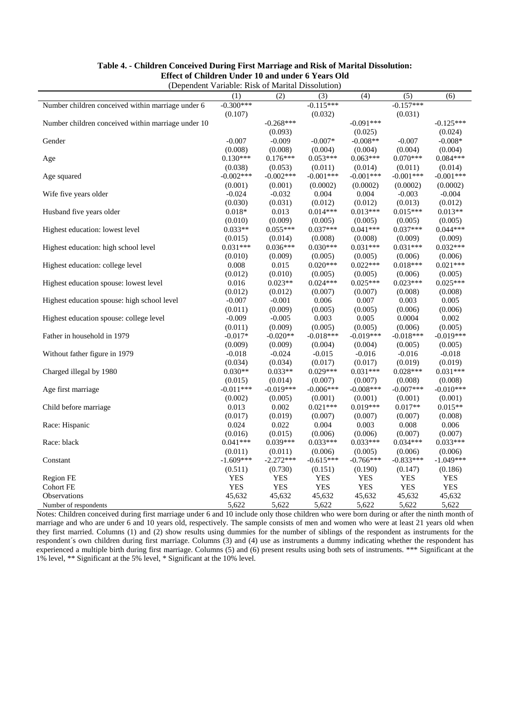| (Dependent Variable: Risk of Marital Dissolution)  |             |             |             |             |              |             |
|----------------------------------------------------|-------------|-------------|-------------|-------------|--------------|-------------|
|                                                    | (1)         | (2)         | (3)         | (4)         | (5)          | (6)         |
| Number children conceived within marriage under 6  | $-0.300***$ |             | $-0.115***$ |             | $-0.157***$  |             |
|                                                    | (0.107)     |             | (0.032)     |             | (0.031)      |             |
| Number children conceived within marriage under 10 |             | $-0.268***$ |             | $-0.091***$ |              | $-0.125***$ |
|                                                    |             | (0.093)     |             | (0.025)     |              | (0.024)     |
| Gender                                             | $-0.007$    | $-0.009$    | $-0.007*$   | $-0.008**$  | $-0.007$     | $-0.008*$   |
|                                                    | (0.008)     | (0.008)     | (0.004)     | (0.004)     | (0.004)      | (0.004)     |
| Age                                                | $0.130***$  | $0.176***$  | $0.053***$  | $0.063***$  | $0.070***$   | $0.084***$  |
|                                                    | (0.038)     | (0.053)     | (0.011)     | (0.014)     | (0.011)      | (0.014)     |
| Age squared                                        | $-0.002***$ | $-0.002***$ | $-0.001***$ | $-0.001***$ | $-0.001***$  | $-0.001***$ |
|                                                    | (0.001)     | (0.001)     | (0.0002)    | (0.0002)    | (0.0002)     | (0.0002)    |
| Wife five years older                              | $-0.024$    | $-0.032$    | 0.004       | 0.004       | $-0.003$     | $-0.004$    |
|                                                    | (0.030)     | (0.031)     | (0.012)     | (0.012)     | (0.013)      | (0.012)     |
| Husband five years older                           | $0.018*$    | 0.013       | $0.014***$  | $0.013***$  | $0.015***$   | $0.013**$   |
|                                                    | (0.010)     | (0.009)     | (0.005)     | (0.005)     | (0.005)      | (0.005)     |
| Highest education: lowest level                    | $0.033**$   | $0.055***$  | $0.037***$  | $0.041***$  | $0.037***$   | $0.044***$  |
|                                                    | (0.015)     | (0.014)     | (0.008)     | (0.008)     | (0.009)      | (0.009)     |
| Highest education: high school level               | $0.031***$  | $0.036***$  | $0.030***$  | $0.031***$  | $0.031***$   | $0.032***$  |
|                                                    | (0.010)     | (0.009)     | (0.005)     | (0.005)     | (0.006)      | (0.006)     |
| Highest education: college level                   | 0.008       | 0.015       | $0.020***$  | $0.022***$  | $0.018***$   | $0.021***$  |
|                                                    | (0.012)     | (0.010)     | (0.005)     | (0.005)     | (0.006)      | (0.005)     |
| Highest education spouse: lowest level             | 0.016       | $0.023**$   | $0.024***$  | $0.025***$  | $0.023***$   | $0.025***$  |
|                                                    | (0.012)     | (0.012)     | (0.007)     | (0.007)     | (0.008)      | (0.008)     |
| Highest education spouse: high school level        | $-0.007$    | $-0.001$    | 0.006       | 0.007       | 0.003        | 0.005       |
|                                                    | (0.011)     | (0.009)     | (0.005)     | (0.005)     | (0.006)      | (0.006)     |
| Highest education spouse: college level            | $-0.009$    | $-0.005$    | 0.003       | 0.005       | 0.0004       | 0.002       |
|                                                    | (0.011)     | (0.009)     | (0.005)     | (0.005)     | (0.006)      | (0.005)     |
| Father in household in 1979                        | $-0.017*$   | $-0.020**$  | $-0.018***$ | $-0.019***$ | $-0.018***$  | $-0.019***$ |
|                                                    | (0.009)     | (0.009)     | (0.004)     | (0.004)     | (0.005)      | (0.005)     |
| Without father figure in 1979                      | $-0.018$    | $-0.024$    | $-0.015$    | $-0.016$    | $-0.016$     | $-0.018$    |
|                                                    | (0.034)     | (0.034)     | (0.017)     | (0.017)     | (0.019)      | (0.019)     |
| Charged illegal by 1980                            | $0.030**$   | $0.033**$   | $0.029***$  | $0.031***$  | $0.028***$   | $0.031***$  |
|                                                    | (0.015)     | (0.014)     | (0.007)     | (0.007)     | (0.008)      | (0.008)     |
| Age first marriage                                 | $-0.011***$ | $-0.019***$ | $-0.006***$ | $-0.008***$ | $-0.007$ *** | $-0.010***$ |
|                                                    | (0.002)     | (0.005)     | (0.001)     | (0.001)     | (0.001)      | (0.001)     |
| Child before marriage                              | 0.013       | 0.002       | $0.021***$  | $0.019***$  | $0.017**$    | $0.015**$   |
|                                                    | (0.017)     | (0.019)     | (0.007)     | (0.007)     | (0.007)      | (0.008)     |
| Race: Hispanic                                     | 0.024       | 0.022       | 0.004       | 0.003       | 0.008        | 0.006       |
|                                                    | (0.016)     | (0.015)     | (0.006)     | (0.006)     | (0.007)      | (0.007)     |
| Race: black                                        | $0.041***$  | $0.039***$  | $0.033***$  | $0.033***$  | $0.034***$   | $0.033***$  |
|                                                    | (0.011)     | (0.011)     | (0.006)     | (0.005)     | (0.006)      | (0.006)     |
| Constant                                           | $-1.609***$ | $-2.272***$ | $-0.615***$ | $-0.766***$ | $-0.833***$  | $-1.049***$ |
|                                                    | (0.511)     | (0.730)     | (0.151)     | (0.190)     | (0.147)      | (0.186)     |
| Region FE                                          | <b>YES</b>  | <b>YES</b>  | <b>YES</b>  | <b>YES</b>  | <b>YES</b>   | <b>YES</b>  |
| <b>Cohort FE</b>                                   | <b>YES</b>  | <b>YES</b>  | <b>YES</b>  | <b>YES</b>  | <b>YES</b>   | <b>YES</b>  |
| Observations                                       | 45,632      | 45,632      | 45,632      | 45,632      | 45,632       | 45,632      |
| Number of respondents                              | 5,622       | 5,622       | 5,622       | 5,622       | 5,622        | 5,622       |

### **Table 4. - Children Conceived During First Marriage and Risk of Marital Dissolution: Effect of Children Under 10 and under 6 Years Old**

Notes: Children conceived during first marriage under 6 and 10 include only those children who were born during or after the ninth month of marriage and who are under 6 and 10 years old, respectively. The sample consists of men and women who were at least 21 years old when they first married. Columns (1) and (2) show results using dummies for the number of siblings of the respondent as instruments for the respondent´s own children during first marriage. Columns (3) and (4) use as instruments a dummy indicating whether the respondent has experienced a multiple birth during first marriage. Columns  $(5)$  and  $(6)$  present results using both sets of instruments. \*\*\* Significant at the 1% level, \*\* Significant at the 5% level, \* Significant at the 10% level.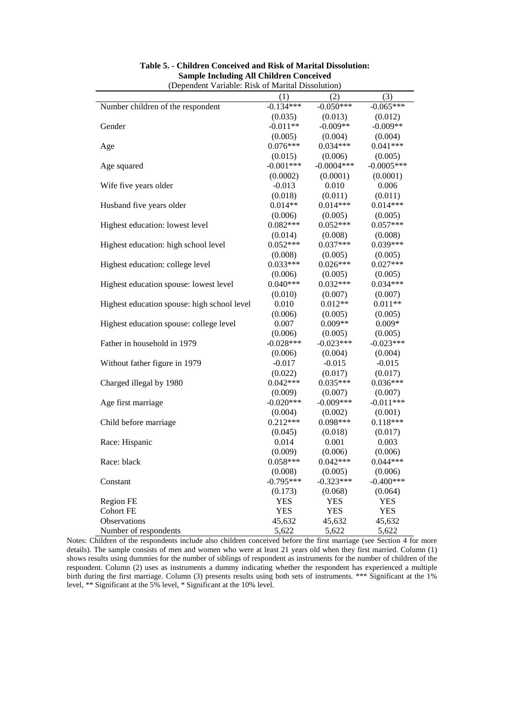| (2)<br>(3)<br>(1)<br>$-0.134***$<br>Number children of the respondent<br>$-0.050***$<br>$-0.065***$<br>(0.035)<br>(0.013)<br>(0.012)<br>$-0.011**$<br>$-0.009**$<br>$-0.009**$<br>Gender<br>(0.005)<br>(0.004)<br>(0.004)<br>$0.076***$<br>$0.034***$<br>$0.041***$<br>Age<br>(0.015)<br>(0.006)<br>(0.005)<br>$-0.001***$<br>$-0.0004***$<br>$-0.0005***$<br>Age squared<br>(0.0002)<br>(0.0001)<br>(0.0001)<br>$-0.013$<br>0.010<br>0.006<br>Wife five years older<br>(0.018)<br>(0.011)<br>(0.011)<br>$0.014***$<br>$0.014***$<br>$0.014**$<br>Husband five years older<br>(0.005)<br>(0.006)<br>(0.005)<br>$0.082***$<br>$0.052***$<br>$0.057***$<br>Highest education: lowest level<br>(0.008)<br>(0.014)<br>(0.008)<br>0.039***<br>$0.052***$<br>$0.037***$<br>Highest education: high school level<br>(0.005)<br>(0.008)<br>(0.005)<br>$0.027***$<br>$0.033***$<br>$0.026***$<br>Highest education: college level<br>(0.006)<br>(0.005)<br>(0.005)<br>$0.040***$<br>$0.032***$<br>$0.034***$<br>Highest education spouse: lowest level<br>(0.010)<br>(0.007)<br>(0.007)<br>$0.011**$<br>Highest education spouse: high school level<br>$0.012**$<br>0.010<br>(0.006)<br>(0.005)<br>(0.005)<br>$0.009**$<br>Highest education spouse: college level<br>$0.009*$<br>0.007<br>(0.005)<br>(0.006)<br>(0.005) |
|-----------------------------------------------------------------------------------------------------------------------------------------------------------------------------------------------------------------------------------------------------------------------------------------------------------------------------------------------------------------------------------------------------------------------------------------------------------------------------------------------------------------------------------------------------------------------------------------------------------------------------------------------------------------------------------------------------------------------------------------------------------------------------------------------------------------------------------------------------------------------------------------------------------------------------------------------------------------------------------------------------------------------------------------------------------------------------------------------------------------------------------------------------------------------------------------------------------------------------------------------------------------------------------------------------------------|
|                                                                                                                                                                                                                                                                                                                                                                                                                                                                                                                                                                                                                                                                                                                                                                                                                                                                                                                                                                                                                                                                                                                                                                                                                                                                                                                 |
|                                                                                                                                                                                                                                                                                                                                                                                                                                                                                                                                                                                                                                                                                                                                                                                                                                                                                                                                                                                                                                                                                                                                                                                                                                                                                                                 |
|                                                                                                                                                                                                                                                                                                                                                                                                                                                                                                                                                                                                                                                                                                                                                                                                                                                                                                                                                                                                                                                                                                                                                                                                                                                                                                                 |
|                                                                                                                                                                                                                                                                                                                                                                                                                                                                                                                                                                                                                                                                                                                                                                                                                                                                                                                                                                                                                                                                                                                                                                                                                                                                                                                 |
|                                                                                                                                                                                                                                                                                                                                                                                                                                                                                                                                                                                                                                                                                                                                                                                                                                                                                                                                                                                                                                                                                                                                                                                                                                                                                                                 |
|                                                                                                                                                                                                                                                                                                                                                                                                                                                                                                                                                                                                                                                                                                                                                                                                                                                                                                                                                                                                                                                                                                                                                                                                                                                                                                                 |
|                                                                                                                                                                                                                                                                                                                                                                                                                                                                                                                                                                                                                                                                                                                                                                                                                                                                                                                                                                                                                                                                                                                                                                                                                                                                                                                 |
|                                                                                                                                                                                                                                                                                                                                                                                                                                                                                                                                                                                                                                                                                                                                                                                                                                                                                                                                                                                                                                                                                                                                                                                                                                                                                                                 |
|                                                                                                                                                                                                                                                                                                                                                                                                                                                                                                                                                                                                                                                                                                                                                                                                                                                                                                                                                                                                                                                                                                                                                                                                                                                                                                                 |
|                                                                                                                                                                                                                                                                                                                                                                                                                                                                                                                                                                                                                                                                                                                                                                                                                                                                                                                                                                                                                                                                                                                                                                                                                                                                                                                 |
|                                                                                                                                                                                                                                                                                                                                                                                                                                                                                                                                                                                                                                                                                                                                                                                                                                                                                                                                                                                                                                                                                                                                                                                                                                                                                                                 |
|                                                                                                                                                                                                                                                                                                                                                                                                                                                                                                                                                                                                                                                                                                                                                                                                                                                                                                                                                                                                                                                                                                                                                                                                                                                                                                                 |
|                                                                                                                                                                                                                                                                                                                                                                                                                                                                                                                                                                                                                                                                                                                                                                                                                                                                                                                                                                                                                                                                                                                                                                                                                                                                                                                 |
|                                                                                                                                                                                                                                                                                                                                                                                                                                                                                                                                                                                                                                                                                                                                                                                                                                                                                                                                                                                                                                                                                                                                                                                                                                                                                                                 |
|                                                                                                                                                                                                                                                                                                                                                                                                                                                                                                                                                                                                                                                                                                                                                                                                                                                                                                                                                                                                                                                                                                                                                                                                                                                                                                                 |
|                                                                                                                                                                                                                                                                                                                                                                                                                                                                                                                                                                                                                                                                                                                                                                                                                                                                                                                                                                                                                                                                                                                                                                                                                                                                                                                 |
|                                                                                                                                                                                                                                                                                                                                                                                                                                                                                                                                                                                                                                                                                                                                                                                                                                                                                                                                                                                                                                                                                                                                                                                                                                                                                                                 |
|                                                                                                                                                                                                                                                                                                                                                                                                                                                                                                                                                                                                                                                                                                                                                                                                                                                                                                                                                                                                                                                                                                                                                                                                                                                                                                                 |
|                                                                                                                                                                                                                                                                                                                                                                                                                                                                                                                                                                                                                                                                                                                                                                                                                                                                                                                                                                                                                                                                                                                                                                                                                                                                                                                 |
|                                                                                                                                                                                                                                                                                                                                                                                                                                                                                                                                                                                                                                                                                                                                                                                                                                                                                                                                                                                                                                                                                                                                                                                                                                                                                                                 |
|                                                                                                                                                                                                                                                                                                                                                                                                                                                                                                                                                                                                                                                                                                                                                                                                                                                                                                                                                                                                                                                                                                                                                                                                                                                                                                                 |
|                                                                                                                                                                                                                                                                                                                                                                                                                                                                                                                                                                                                                                                                                                                                                                                                                                                                                                                                                                                                                                                                                                                                                                                                                                                                                                                 |
|                                                                                                                                                                                                                                                                                                                                                                                                                                                                                                                                                                                                                                                                                                                                                                                                                                                                                                                                                                                                                                                                                                                                                                                                                                                                                                                 |
|                                                                                                                                                                                                                                                                                                                                                                                                                                                                                                                                                                                                                                                                                                                                                                                                                                                                                                                                                                                                                                                                                                                                                                                                                                                                                                                 |
|                                                                                                                                                                                                                                                                                                                                                                                                                                                                                                                                                                                                                                                                                                                                                                                                                                                                                                                                                                                                                                                                                                                                                                                                                                                                                                                 |
| $-0.028***$<br>$-0.023***$<br>$-0.023***$<br>Father in household in 1979                                                                                                                                                                                                                                                                                                                                                                                                                                                                                                                                                                                                                                                                                                                                                                                                                                                                                                                                                                                                                                                                                                                                                                                                                                        |
| (0.006)<br>(0.004)<br>(0.004)                                                                                                                                                                                                                                                                                                                                                                                                                                                                                                                                                                                                                                                                                                                                                                                                                                                                                                                                                                                                                                                                                                                                                                                                                                                                                   |
| $-0.017$<br>$-0.015$<br>$-0.015$<br>Without father figure in 1979                                                                                                                                                                                                                                                                                                                                                                                                                                                                                                                                                                                                                                                                                                                                                                                                                                                                                                                                                                                                                                                                                                                                                                                                                                               |
| (0.022)<br>(0.017)<br>(0.017)                                                                                                                                                                                                                                                                                                                                                                                                                                                                                                                                                                                                                                                                                                                                                                                                                                                                                                                                                                                                                                                                                                                                                                                                                                                                                   |
| $0.042***$<br>$0.035***$<br>$0.036***$<br>Charged illegal by 1980                                                                                                                                                                                                                                                                                                                                                                                                                                                                                                                                                                                                                                                                                                                                                                                                                                                                                                                                                                                                                                                                                                                                                                                                                                               |
| (0.009)<br>(0.007)<br>(0.007)                                                                                                                                                                                                                                                                                                                                                                                                                                                                                                                                                                                                                                                                                                                                                                                                                                                                                                                                                                                                                                                                                                                                                                                                                                                                                   |
| $-0.009***$<br>$-0.020***$<br>$-0.011***$<br>Age first marriage                                                                                                                                                                                                                                                                                                                                                                                                                                                                                                                                                                                                                                                                                                                                                                                                                                                                                                                                                                                                                                                                                                                                                                                                                                                 |
| (0.004)<br>(0.002)<br>(0.001)                                                                                                                                                                                                                                                                                                                                                                                                                                                                                                                                                                                                                                                                                                                                                                                                                                                                                                                                                                                                                                                                                                                                                                                                                                                                                   |
| $0.212***$<br>$0.098***$<br>$0.118***$<br>Child before marriage                                                                                                                                                                                                                                                                                                                                                                                                                                                                                                                                                                                                                                                                                                                                                                                                                                                                                                                                                                                                                                                                                                                                                                                                                                                 |
| (0.045)<br>(0.018)<br>(0.017)                                                                                                                                                                                                                                                                                                                                                                                                                                                                                                                                                                                                                                                                                                                                                                                                                                                                                                                                                                                                                                                                                                                                                                                                                                                                                   |
| 0.014<br>0.001<br>0.003<br>Race: Hispanic                                                                                                                                                                                                                                                                                                                                                                                                                                                                                                                                                                                                                                                                                                                                                                                                                                                                                                                                                                                                                                                                                                                                                                                                                                                                       |
| (0.009)<br>(0.006)<br>(0.006)                                                                                                                                                                                                                                                                                                                                                                                                                                                                                                                                                                                                                                                                                                                                                                                                                                                                                                                                                                                                                                                                                                                                                                                                                                                                                   |
| $0.058***$<br>$0.042***$<br>$0.044***$<br>Race: black                                                                                                                                                                                                                                                                                                                                                                                                                                                                                                                                                                                                                                                                                                                                                                                                                                                                                                                                                                                                                                                                                                                                                                                                                                                           |
| (0.008)<br>(0.006)<br>(0.005)                                                                                                                                                                                                                                                                                                                                                                                                                                                                                                                                                                                                                                                                                                                                                                                                                                                                                                                                                                                                                                                                                                                                                                                                                                                                                   |
| $-0.795***$<br>$-0.323***$<br>$-0.400***$<br>Constant                                                                                                                                                                                                                                                                                                                                                                                                                                                                                                                                                                                                                                                                                                                                                                                                                                                                                                                                                                                                                                                                                                                                                                                                                                                           |
| (0.173)<br>(0.064)<br>(0.068)                                                                                                                                                                                                                                                                                                                                                                                                                                                                                                                                                                                                                                                                                                                                                                                                                                                                                                                                                                                                                                                                                                                                                                                                                                                                                   |
| <b>YES</b><br><b>YES</b><br><b>YES</b><br><b>Region FE</b>                                                                                                                                                                                                                                                                                                                                                                                                                                                                                                                                                                                                                                                                                                                                                                                                                                                                                                                                                                                                                                                                                                                                                                                                                                                      |
| <b>Cohort FE</b><br><b>YES</b><br><b>YES</b><br><b>YES</b>                                                                                                                                                                                                                                                                                                                                                                                                                                                                                                                                                                                                                                                                                                                                                                                                                                                                                                                                                                                                                                                                                                                                                                                                                                                      |
| Observations<br>45,632<br>45,632<br>45,632                                                                                                                                                                                                                                                                                                                                                                                                                                                                                                                                                                                                                                                                                                                                                                                                                                                                                                                                                                                                                                                                                                                                                                                                                                                                      |
| Number of respondents<br>5,622<br>5,622<br>5,622                                                                                                                                                                                                                                                                                                                                                                                                                                                                                                                                                                                                                                                                                                                                                                                                                                                                                                                                                                                                                                                                                                                                                                                                                                                                |

#### **Table 5. - Children Conceived and Risk of Marital Dissolution: Sample Including All Children Conceived**

Notes: Children of the respondents include also children conceived before the first marriage (see Section 4 for more details). The sample consists of men and women who were at least 21 years old when they first married. Column (1) shows results using dummies for the number of siblings of respondent as instruments for the number of children of the respondent. Column (2) uses as instruments a dummy indicating whether the respondent has experienced a multiple birth during the first marriage. Column (3) presents results using both sets of instruments. \*\*\* Significant at the 1% level, \*\* Significant at the 5% level, \* Significant at the 10% level.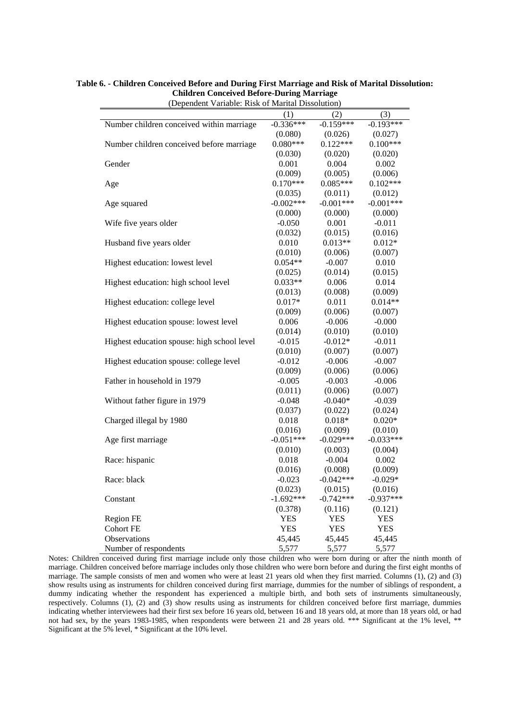| (Dependent Variable: Risk of Marital Dissolution) |             |             |             |
|---------------------------------------------------|-------------|-------------|-------------|
|                                                   | (1)         | (2)         | (3)         |
| Number children conceived within marriage         | $-0.336***$ | $-0.159***$ | $-0.193***$ |
|                                                   | (0.080)     | (0.026)     | (0.027)     |
| Number children conceived before marriage         | $0.080***$  | $0.122***$  | $0.100***$  |
|                                                   | (0.030)     | (0.020)     | (0.020)     |
| Gender                                            | 0.001       | 0.004       | 0.002       |
|                                                   | (0.009)     | (0.005)     | (0.006)     |
| Age                                               | $0.170***$  | $0.085***$  | $0.102***$  |
|                                                   | (0.035)     | (0.011)     | (0.012)     |
| Age squared                                       | $-0.002***$ | $-0.001***$ | $-0.001***$ |
|                                                   | (0.000)     | (0.000)     | (0.000)     |
| Wife five years older                             | $-0.050$    | 0.001       | $-0.011$    |
|                                                   | (0.032)     | (0.015)     | (0.016)     |
| Husband five years older                          | 0.010       | $0.013**$   | $0.012*$    |
|                                                   | (0.010)     | (0.006)     | (0.007)     |
| Highest education: lowest level                   | $0.054**$   | $-0.007$    | 0.010       |
|                                                   | (0.025)     | (0.014)     | (0.015)     |
| Highest education: high school level              | $0.033**$   | 0.006       | 0.014       |
|                                                   | (0.013)     | (0.008)     | (0.009)     |
| Highest education: college level                  | $0.017*$    | 0.011       | $0.014**$   |
|                                                   | (0.009)     | (0.006)     | (0.007)     |
| Highest education spouse: lowest level            | 0.006       | $-0.006$    | $-0.000$    |
|                                                   | (0.014)     | (0.010)     | (0.010)     |
| Highest education spouse: high school level       | $-0.015$    | $-0.012*$   | $-0.011$    |
|                                                   | (0.010)     | (0.007)     | (0.007)     |
| Highest education spouse: college level           | $-0.012$    | $-0.006$    | $-0.007$    |
|                                                   | (0.009)     | (0.006)     | (0.006)     |
| Father in household in 1979                       | $-0.005$    | $-0.003$    | $-0.006$    |
|                                                   | (0.011)     | (0.006)     | (0.007)     |
| Without father figure in 1979                     | $-0.048$    | $-0.040*$   | $-0.039$    |
|                                                   | (0.037)     | (0.022)     | (0.024)     |
| Charged illegal by 1980                           | 0.018       | $0.018*$    | $0.020*$    |
|                                                   | (0.016)     | (0.009)     | (0.010)     |
| Age first marriage                                | $-0.051***$ | $-0.029***$ | $-0.033***$ |
|                                                   | (0.010)     | (0.003)     | (0.004)     |
| Race: hispanic                                    | 0.018       | $-0.004$    | 0.002       |
|                                                   | (0.016)     | (0.008)     | (0.009)     |
| Race: black                                       | $-0.023$    | $-0.042***$ | $-0.029*$   |
|                                                   | (0.023)     | (0.015)     | (0.016)     |
| Constant                                          | $-1.692***$ | $-0.742***$ | $-0.937***$ |
|                                                   | (0.378)     | (0.116)     | (0.121)     |
| <b>Region FE</b>                                  | <b>YES</b>  | <b>YES</b>  | <b>YES</b>  |
| <b>Cohort FE</b>                                  | <b>YES</b>  | <b>YES</b>  | <b>YES</b>  |
| Observations                                      | 45,445      | 45,445      | 45,445      |
| Number of respondents                             | 5,577       | 5,577       | 5,577       |

### **Table 6. - Children Conceived Before and During First Marriage and Risk of Marital Dissolution: Children Conceived Before-During Marriage**

Notes: Children conceived during first marriage include only those children who were born during or after the ninth month of marriage. Children conceived before marriage includes only those children who were born before and during the first eight months of marriage. The sample consists of men and women who were at least 21 years old when they first married. Columns (1), (2) and (3) show results using as instruments for children conceived during first marriage, dummies for the number of siblings of respondent, a dummy indicating whether the respondent has experienced a multiple birth, and both sets of instruments simultaneously, respectively. Columns (1), (2) and (3) show results using as instruments for children conceived before first marriage, dummies indicating whether interviewees had their first sex before 16 years old, between 16 and 18 years old, at more than 18 years old, or had not had sex, by the years 1983-1985, when respondents were between 21 and 28 years old. \*\*\* Significant at the 1% level, \*\* Significant at the 5% level, \* Significant at the 10% level.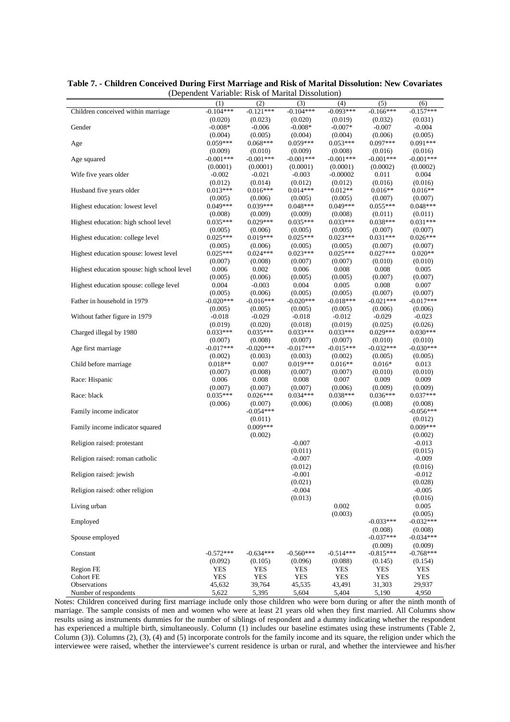|                                             | (1)                    | (2)                    | (3)                    | (4)                    | (5)                    | (6)                    |
|---------------------------------------------|------------------------|------------------------|------------------------|------------------------|------------------------|------------------------|
| Children conceived within marriage          | $-0.104***$            | $-0.121***$            | $-0.104***$            | $-0.093***$            | $-0.166***$            | $-0.157***$            |
|                                             | (0.020)                | (0.023)                | (0.020)                | (0.019)                | (0.032)                | (0.031)                |
| Gender                                      | $-0.008*$              | $-0.006$               | $-0.008*$              | $-0.007*$              | $-0.007$               | $-0.004$               |
| Age                                         | (0.004)<br>$0.059***$  | (0.005)<br>$0.068***$  | (0.004)<br>$0.059***$  | (0.004)<br>$0.053***$  | (0.006)<br>$0.097***$  | (0.005)<br>$0.091***$  |
|                                             | (0.009)                | (0.010)                | (0.009)                | (0.008)                | (0.016)                | (0.016)                |
| Age squared                                 | $-0.001***$            | $-0.001***$            | $-0.001***$            | $-0.001***$            | $-0.001***$            | $-0.001***$            |
|                                             | (0.0001)               | (0.0001)               | (0.0001)               | (0.0001)               | (0.0002)               | (0.0002)               |
| Wife five years older                       | $-0.002$               | $-0.021$               | $-0.003$               | $-0.00002$             | 0.011                  | 0.004                  |
|                                             | (0.012)                | (0.014)                | (0.012)                | (0.012)                | (0.016)                | (0.016)                |
| Husband five years older                    | $0.013***$             | $0.016***$             | $0.014***$             | $0.012**$              | $0.016**$              | $0.016**$              |
|                                             | (0.005)                | (0.006)                | (0.005)                | (0.005)                | (0.007)                | (0.007)                |
| Highest education: lowest level             | $0.049***$<br>(0.008)  | $0.039***$<br>(0.009)  | $0.048***$<br>(0.009)  | $0.049***$<br>(0.008)  | $0.055***$<br>(0.011)  | $0.048***$<br>(0.011)  |
| Highest education: high school level        | $0.035***$             | $0.029***$             | $0.035***$             | $0.033***$             | $0.038***$             | $0.031***$             |
|                                             | (0.005)                | (0.006)                | (0.005)                | (0.005)                | (0.007)                | (0.007)                |
| Highest education: college level            | $0.025***$             | $0.019***$             | $0.025***$             | $0.023***$             | $0.031***$             | $0.026***$             |
|                                             | (0.005)                | (0.006)                | (0.005)                | (0.005)                | (0.007)                | (0.007)                |
| Highest education spouse: lowest level      | $0.025***$             | $0.024***$             | $0.023***$             | $0.025***$             | $0.027***$             | $0.020**$              |
|                                             | (0.007)                | (0.008)                | (0.007)                | (0.007)                | (0.010)                | (0.010)                |
| Highest education spouse: high school level | 0.006                  | 0.002                  | 0.006                  | 0.008                  | 0.008                  | 0.005                  |
| Highest education spouse: college level     | (0.005)<br>0.004       | (0.006)<br>$-0.003$    | (0.005)<br>0.004       | (0.005)<br>0.005       | (0.007)<br>0.008       | (0.007)<br>0.007       |
|                                             | (0.005)                | (0.006)                | (0.005)                | (0.005)                | (0.007)                | (0.007)                |
| Father in household in 1979                 | $-0.020***$            | $-0.016***$            | $-0.020***$            | $-0.018***$            | $-0.021***$            | $-0.017***$            |
|                                             | (0.005)                | (0.005)                | (0.005)                | (0.005)                | (0.006)                | (0.006)                |
| Without father figure in 1979               | $-0.018$               | $-0.029$               | $-0.018$               | $-0.012$               | $-0.029$               | $-0.023$               |
|                                             | (0.019)                | (0.020)                | (0.018)                | (0.019)                | (0.025)                | (0.026)                |
| Charged illegal by 1980                     | $0.033***$             | $0.035***$             | $0.033***$             | $0.033***$             | $0.029***$             | $0.030***$             |
| Age first marriage                          | (0.007)<br>$-0.017***$ | (0.008)<br>$-0.020***$ | (0.007)<br>$-0.017***$ | (0.007)<br>$-0.015***$ | (0.010)<br>$-0.032***$ | (0.010)<br>$-0.030***$ |
|                                             | (0.002)                | (0.003)                | (0.003)                | (0.002)                | (0.005)                | (0.005)                |
| Child before marriage                       | $0.018**$              | 0.007                  | $0.019***$             | $0.016**$              | $0.016*$               | 0.013                  |
|                                             | (0.007)                | (0.008)                | (0.007)                | (0.007)                | (0.010)                | (0.010)                |
| Race: Hispanic                              | 0.006                  | 0.008                  | 0.008                  | 0.007                  | 0.009                  | 0.009                  |
|                                             | (0.007)                | (0.007)                | (0.007)                | (0.006)                | (0.009)                | (0.009)                |
| Race: black                                 | $0.035***$             | $0.026***$             | $0.034***$             | $0.038***$             | $0.036***$             | $0.037***$             |
|                                             | (0.006)                | (0.007)<br>$-0.054***$ | (0.006)                | (0.006)                | (0.008)                | (0.008)<br>$-0.056***$ |
| Family income indicator                     |                        | (0.011)                |                        |                        |                        | (0.012)                |
| Family income indicator squared             |                        | $0.009***$             |                        |                        |                        | $0.009***$             |
|                                             |                        | (0.002)                |                        |                        |                        | (0.002)                |
| Religion raised: protestant                 |                        |                        | $-0.007$               |                        |                        | $-0.013$               |
|                                             |                        |                        | (0.011)                |                        |                        | (0.015)                |
| Religion raised: roman catholic             |                        |                        | $-0.007$               |                        |                        | $-0.009$               |
|                                             |                        |                        | (0.012)                |                        |                        | (0.016)                |
| Religion raised: jewish                     |                        |                        | $-0.001$<br>(0.021)    |                        |                        | $-0.012$<br>(0.028)    |
| Religion raised: other religion             |                        |                        | $-0.004$               |                        |                        | $-0.005$               |
|                                             |                        |                        | (0.013)                |                        |                        | (0.016)                |
| Living urban                                |                        |                        |                        | 0.002                  |                        | 0.005                  |
|                                             |                        |                        |                        | (0.003)                |                        | (0.005)                |
| Employed                                    |                        |                        |                        |                        | $-0.033***$            | $-0.032***$            |
|                                             |                        |                        |                        |                        | (0.008)                | (0.008)                |
| Spouse employed                             |                        |                        |                        |                        | $-0.037***$            | $-0.034***$            |
| Constant                                    | $-0.572***$            | $-0.634***$            | $-0.560***$            | $-0.514***$            | (0.009)<br>$-0.815***$ | (0.009)<br>$-0.768***$ |
|                                             | (0.092)                | (0.105)                | (0.096)                | (0.088)                | (0.145)                | (0.154)                |
| Region FE                                   | <b>YES</b>             | YES                    | YES                    | YES                    | YES                    | YES                    |
| Cohort FE                                   | <b>YES</b>             | YES                    | YES                    | YES                    | <b>YES</b>             | YES                    |
| <b>Observations</b>                         | 45,632                 | 39,764                 | 45,535                 | 43,491                 | 31,303                 | 29,937                 |
| Number of respondents                       | 5,622                  | 5,395                  | 5,604                  | 5,404                  | 5,190                  | 4,950                  |

**Table 7. - Children Conceived During First Marriage and Risk of Marital Dissolution: New Covariates** (Dependent Variable: Risk of Marital Dissolution)

Notes: Children conceived during first marriage include only those children who were born during or after the ninth month of marriage. The sample consists of men and women who were at least 21 years old when they first married. All Columns show results using as instruments dummies for the number of siblings of respondent and a dummy indicating whether the respondent has experienced a multiple birth, simultaneously. Column (1) includes our baseline estimates using these instruments (Table 2, Column (3)). Columns (2), (3), (4) and (5) incorporate controls for the family income and its square, the religion under which the interviewee were raised, whether the interviewee's current residence is urban or rural, and whether the interviewee and his/her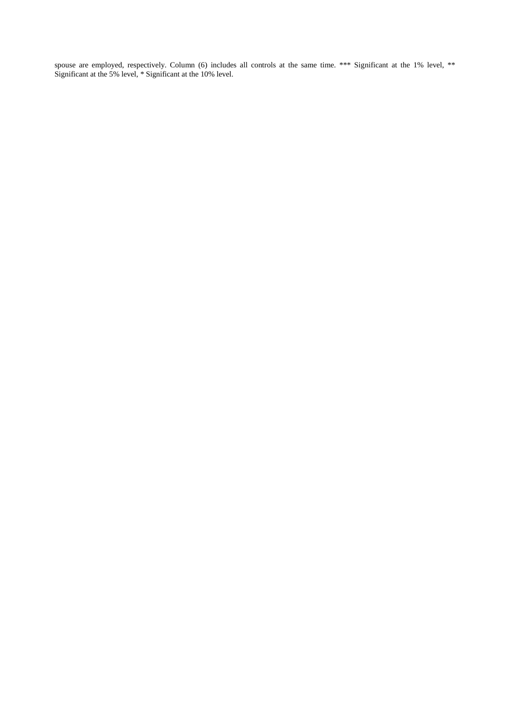spouse are employed, respectively. Column (6) includes all controls at the same time. \*\*\* Significant at the 1% level, \*\* Significant at the 5% level, \* Significant at the 10% level.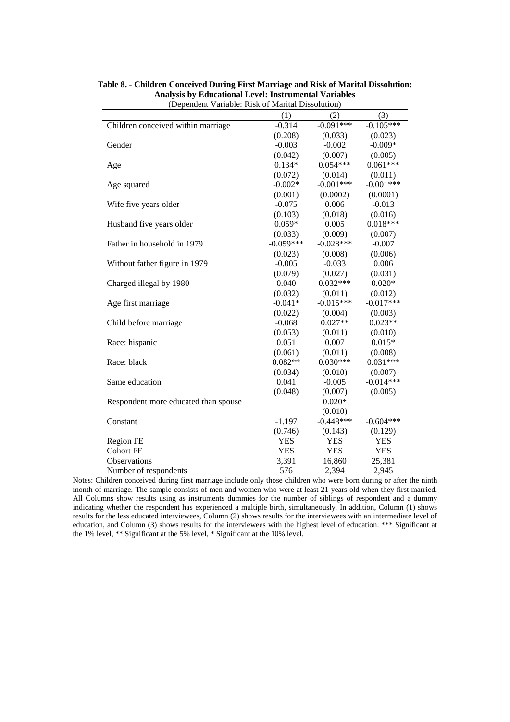|                                      | (1)         | (2)         | (3)         |
|--------------------------------------|-------------|-------------|-------------|
| Children conceived within marriage   | $-0.314$    | $-0.091***$ | $-0.105***$ |
|                                      | (0.208)     | (0.033)     | (0.023)     |
| Gender                               | $-0.003$    | $-0.002$    | $-0.009*$   |
|                                      | (0.042)     | (0.007)     | (0.005)     |
| Age                                  | $0.134*$    | $0.054***$  | $0.061***$  |
|                                      | (0.072)     | (0.014)     | (0.011)     |
| Age squared                          | $-0.002*$   | $-0.001***$ | $-0.001***$ |
|                                      | (0.001)     | (0.0002)    | (0.0001)    |
| Wife five years older                | $-0.075$    | 0.006       | $-0.013$    |
|                                      | (0.103)     | (0.018)     | (0.016)     |
| Husband five years older             | $0.059*$    | 0.005       | $0.018***$  |
|                                      | (0.033)     | (0.009)     | (0.007)     |
| Father in household in 1979          | $-0.059***$ | $-0.028***$ | $-0.007$    |
|                                      | (0.023)     | (0.008)     | (0.006)     |
| Without father figure in 1979        | $-0.005$    | $-0.033$    | 0.006       |
|                                      | (0.079)     | (0.027)     | (0.031)     |
| Charged illegal by 1980              | 0.040       | $0.032***$  | $0.020*$    |
|                                      | (0.032)     | (0.011)     | (0.012)     |
| Age first marriage                   | $-0.041*$   | $-0.015***$ | $-0.017***$ |
|                                      | (0.022)     | (0.004)     | (0.003)     |
| Child before marriage                | $-0.068$    | $0.027**$   | $0.023**$   |
|                                      | (0.053)     | (0.011)     | (0.010)     |
| Race: hispanic                       | 0.051       | 0.007       | $0.015*$    |
|                                      | (0.061)     | (0.011)     | (0.008)     |
| Race: black                          | $0.082**$   | $0.030***$  | $0.031***$  |
|                                      | (0.034)     | (0.010)     | (0.007)     |
| Same education                       | 0.041       | $-0.005$    | $-0.014***$ |
|                                      | (0.048)     | (0.007)     | (0.005)     |
| Respondent more educated than spouse |             | $0.020*$    |             |
|                                      |             | (0.010)     |             |
| Constant                             | $-1.197$    | $-0.448***$ | $-0.604***$ |
|                                      | (0.746)     | (0.143)     | (0.129)     |
| Region FE                            | <b>YES</b>  | <b>YES</b>  | <b>YES</b>  |
| <b>Cohort FE</b>                     | <b>YES</b>  | <b>YES</b>  | <b>YES</b>  |
| Observations                         | 3,391       | 16,860      | 25,381      |
| Number of respondents                | 576         | 2,394       | 2,945       |

**Table 8. - Children Conceived During First Marriage and Risk of Marital Dissolution: Analysis by Educational Level: Instrumental Variables** (Dependent Variable: Risk of Marital Dissolution)

Notes: Children conceived during first marriage include only those children who were born during or after the ninth month of marriage. The sample consists of men and women who were at least 21 years old when they first married. All Columns show results using as instruments dummies for the number of siblings of respondent and a dummy indicating whether the respondent has experienced a multiple birth, simultaneously. In addition, Column (1) shows results for the less educated interviewees, Column (2) shows results for the interviewees with an intermediate level of education, and Column (3) shows results for the interviewees with the highest level of education. \*\*\* Significant at the 1% level, \*\* Significant at the 5% level, \* Significant at the 10% level.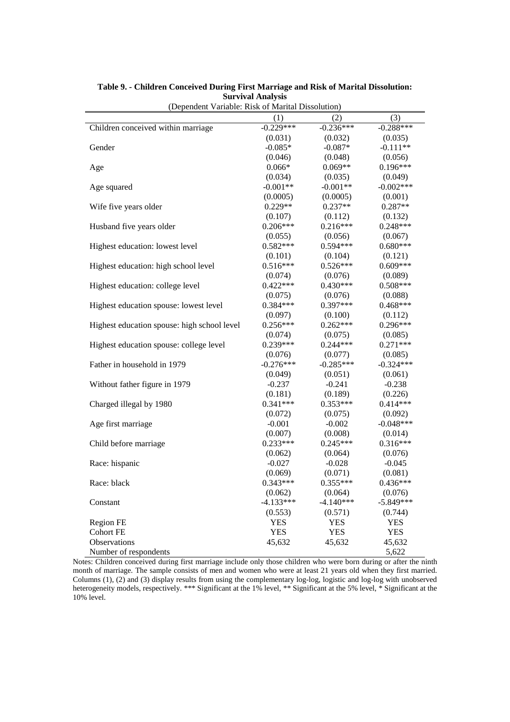| $\mu_{\rm D}$ , belonger to a the contract of the contraction of $\mu_{\rm D}$ |             |             |             |
|--------------------------------------------------------------------------------|-------------|-------------|-------------|
|                                                                                | (1)         | (2)         | (3)         |
| Children conceived within marriage                                             | $-0.229***$ | $-0.236***$ | $-0.288***$ |
|                                                                                | (0.031)     | (0.032)     | (0.035)     |
| Gender                                                                         | $-0.085*$   | $-0.087*$   | $-0.111**$  |
|                                                                                | (0.046)     | (0.048)     | (0.056)     |
| Age                                                                            | $0.066*$    | $0.069**$   | $0.196***$  |
|                                                                                | (0.034)     | (0.035)     | (0.049)     |
| Age squared                                                                    | $-0.001**$  | $-0.001**$  | $-0.002***$ |
|                                                                                | (0.0005)    | (0.0005)    | (0.001)     |
| Wife five years older                                                          | $0.229**$   | $0.237**$   | $0.287**$   |
|                                                                                | (0.107)     | (0.112)     | (0.132)     |
| Husband five years older                                                       | $0.206***$  | $0.216***$  | $0.248***$  |
|                                                                                | (0.055)     | (0.056)     | (0.067)     |
| Highest education: lowest level                                                | $0.582***$  | $0.594***$  | $0.680***$  |
|                                                                                | (0.101)     | (0.104)     | (0.121)     |
| Highest education: high school level                                           | $0.516***$  | $0.526***$  | $0.609***$  |
|                                                                                | (0.074)     | (0.076)     | (0.089)     |
| Highest education: college level                                               | $0.422***$  | $0.430***$  | $0.508***$  |
|                                                                                | (0.075)     | (0.076)     | (0.088)     |
| Highest education spouse: lowest level                                         | $0.384***$  | $0.397***$  | $0.468***$  |
|                                                                                | (0.097)     | (0.100)     | (0.112)     |
| Highest education spouse: high school level                                    | $0.256***$  | $0.262***$  | $0.296***$  |
|                                                                                | (0.074)     | (0.075)     | (0.085)     |
| Highest education spouse: college level                                        | $0.239***$  | $0.244***$  | $0.271***$  |
|                                                                                | (0.076)     | (0.077)     | (0.085)     |
| Father in household in 1979                                                    | $-0.276***$ | $-0.285***$ | $-0.324***$ |
|                                                                                | (0.049)     | (0.051)     | (0.061)     |
| Without father figure in 1979                                                  | $-0.237$    | $-0.241$    | $-0.238$    |
|                                                                                | (0.181)     | (0.189)     | (0.226)     |
| Charged illegal by 1980                                                        | $0.341***$  | $0.353***$  | $0.414***$  |
|                                                                                | (0.072)     | (0.075)     | (0.092)     |
| Age first marriage                                                             | $-0.001$    | $-0.002$    | $-0.048***$ |
|                                                                                | (0.007)     | (0.008)     | (0.014)     |
| Child before marriage                                                          | $0.233***$  | $0.245***$  | $0.316***$  |
|                                                                                | (0.062)     | (0.064)     | (0.076)     |
| Race: hispanic                                                                 | $-0.027$    | $-0.028$    | $-0.045$    |
|                                                                                | (0.069)     | (0.071)     | (0.081)     |
| Race: black                                                                    | $0.343***$  | $0.355***$  | $0.436***$  |
|                                                                                | (0.062)     | (0.064)     | (0.076)     |
| Constant                                                                       | $-4.133***$ | $-4.140***$ | $-5.849***$ |
|                                                                                | (0.553)     | (0.571)     | (0.744)     |
| Region FE                                                                      | <b>YES</b>  | <b>YES</b>  | <b>YES</b>  |
| <b>Cohort FE</b>                                                               | <b>YES</b>  | <b>YES</b>  | <b>YES</b>  |
| <b>Observations</b>                                                            | 45,632      | 45,632      | 45,632      |
| Number of respondents                                                          |             |             | 5,622       |

**Table 9. - Children Conceived During First Marriage and Risk of Marital Dissolution: Survival Analysis** (Dependent Variable: Risk of Marital Dissolution)

Notes: Children conceived during first marriage include only those children who were born during or after the ninth month of marriage. The sample consists of men and women who were at least 21 years old when they first married. Columns (1), (2) and (3) display results from using the complementary log-log, logistic and log-log with unobserved heterogeneity models, respectively. \*\*\* Significant at the 1% level, \*\* Significant at the 5% level, \* Significant at the 10% level.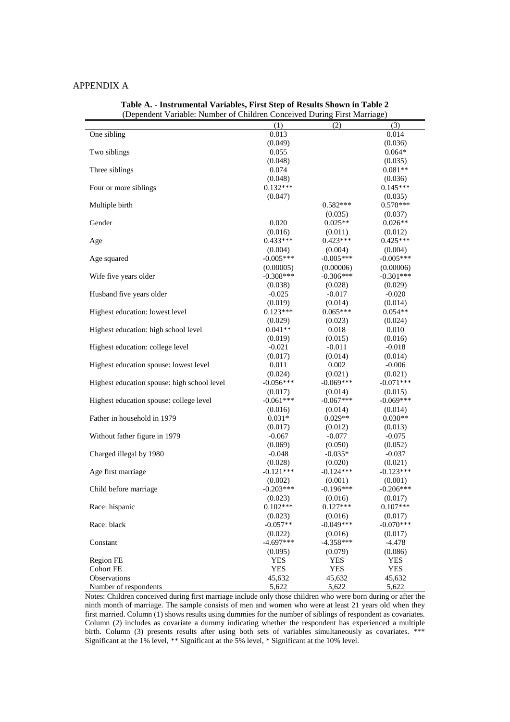#### APPENDIX A

|                                             |             | (Dependent Variable, ivuniber of Children Concerved During First Marriage) |             |
|---------------------------------------------|-------------|----------------------------------------------------------------------------|-------------|
|                                             | (1)         | (2)                                                                        | (3)         |
| One sibling                                 | 0.013       |                                                                            | 0.014       |
|                                             | (0.049)     |                                                                            | (0.036)     |
| Two siblings                                | 0.055       |                                                                            | $0.064*$    |
|                                             | (0.048)     |                                                                            | (0.035)     |
| Three siblings                              | 0.074       |                                                                            | $0.081**$   |
|                                             | (0.048)     |                                                                            | (0.036)     |
| Four or more siblings                       | $0.132***$  |                                                                            | $0.145***$  |
|                                             | (0.047)     |                                                                            | (0.035)     |
| Multiple birth                              |             | $0.582***$                                                                 | $0.570***$  |
|                                             |             | (0.035)                                                                    | (0.037)     |
| Gender                                      | 0.020       | $0.025**$                                                                  | $0.026**$   |
|                                             | (0.016)     | (0.011)                                                                    | (0.012)     |
| Age                                         | $0.433***$  | $0.423***$                                                                 | $0.425***$  |
|                                             | (0.004)     | (0.004)                                                                    | (0.004)     |
| Age squared                                 | $-0.005***$ | $-0.005***$                                                                | $-0.005***$ |
|                                             | (0.00005)   | (0.00006)                                                                  | (0.00006)   |
| Wife five years older                       | $-0.308***$ | $-0.306***$                                                                | $-0.301***$ |
|                                             | (0.038)     | (0.028)                                                                    | (0.029)     |
| Husband five years older                    | $-0.025$    | $-0.017$                                                                   | $-0.020$    |
|                                             | (0.019)     | (0.014)                                                                    | (0.014)     |
| Highest education: lowest level             | $0.123***$  | $0.065***$                                                                 | $0.054**$   |
|                                             | (0.029)     | (0.023)                                                                    | (0.024)     |
| Highest education: high school level        | $0.041**$   | 0.018                                                                      | 0.010       |
|                                             |             |                                                                            |             |
|                                             | (0.019)     | (0.015)                                                                    | (0.016)     |
| Highest education: college level            | $-0.021$    | $-0.011$                                                                   | $-0.018$    |
|                                             | (0.017)     | (0.014)                                                                    | (0.014)     |
| Highest education spouse: lowest level      | 0.011       | 0.002                                                                      | $-0.006$    |
|                                             | (0.024)     | (0.021)                                                                    | (0.021)     |
| Highest education spouse: high school level | $-0.056***$ | $-0.069***$                                                                | $-0.071***$ |
|                                             | (0.017)     | (0.014)                                                                    | (0.015)     |
| Highest education spouse: college level     | $-0.061***$ | $-0.067***$                                                                | $-0.069***$ |
|                                             | (0.016)     | (0.014)                                                                    | (0.014)     |
| Father in household in 1979                 | $0.031*$    | $0.029**$                                                                  | $0.030**$   |
|                                             | (0.017)     | (0.012)                                                                    | (0.013)     |
| Without father figure in 1979               | $-0.067$    | $-0.077$                                                                   | $-0.075$    |
|                                             | (0.069)     | (0.050)                                                                    | (0.052)     |
| Charged illegal by 1980                     | $-0.048$    | $-0.035*$                                                                  | $-0.037$    |
|                                             | (0.028)     | (0.020)                                                                    | (0.021)     |
| Age first marriage                          | $-0.121***$ | $-0.124***$                                                                | $-0.123***$ |
|                                             | (0.002)     | (0.001)                                                                    | (0.001)     |
| Child before marriage                       | $-0.203***$ | $-0.196***$                                                                | $-0.206***$ |
|                                             | (0.023)     | (0.016)                                                                    | (0.017)     |
| Race: hispanic                              | $0.102***$  | $0.127***$                                                                 | $0.107***$  |
|                                             | (0.023)     | (0.016)                                                                    | (0.017)     |
| Race: black                                 | $-0.057**$  | $-0.049***$                                                                | $-0.070***$ |
|                                             | (0.022)     | (0.016)                                                                    | (0.017)     |
| Constant                                    | $-4.697***$ | $-4.358***$                                                                | $-4.478$    |
|                                             | (0.095)     | (0.079)                                                                    | (0.086)     |
| Region FE                                   | <b>YES</b>  | <b>YES</b>                                                                 | <b>YES</b>  |
| <b>Cohort FE</b>                            | <b>YES</b>  | <b>YES</b>                                                                 | <b>YES</b>  |
| Observations                                | 45,632      | 45,632                                                                     | 45,632      |
| Number of respondents                       | 5,622       | 5,622                                                                      | 5,622       |

**Table A. - Instrumental Variables, First Step of Results Shown in Table 2** (Dependent Variable: Number of Children Conceived During First Marriage)

Notes: Children conceived during first marriage include only those children who were born during or after the ninth month of marriage. The sample consists of men and women who were at least 21 years old when they first married. Column (1) shows results using dummies for the number of siblings of respondent as covariates. Column (2) includes as covariate a dummy indicating whether the respondent has experienced a multiple birth. Column (3) presents results after using both sets of variables simultaneously as covariates. \*\*\* Significant at the 1% level, \*\* Significant at the 5% level, \* Significant at the 10% level.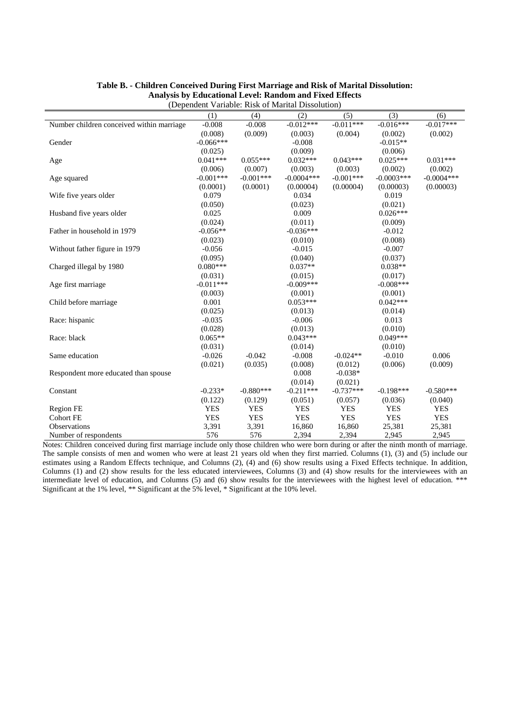|                                           | (1)         | (4)         | A dindrive rubic of maintain phosonation<br>(2) | (5)         | (3)          | (6)          |
|-------------------------------------------|-------------|-------------|-------------------------------------------------|-------------|--------------|--------------|
| Number children conceived within marriage | $-0.008$    | $-0.008$    | $-0.012***$                                     | $-0.011***$ | $-0.016***$  | $-0.017***$  |
|                                           | (0.008)     | (0.009)     | (0.003)                                         | (0.004)     | (0.002)      | (0.002)      |
| Gender                                    | $-0.066***$ |             | $-0.008$                                        |             | $-0.015**$   |              |
|                                           | (0.025)     |             | (0.009)                                         |             | (0.006)      |              |
| Age                                       | $0.041***$  | $0.055***$  | $0.032***$                                      | $0.043***$  | $0.025***$   | $0.031***$   |
|                                           | (0.006)     | (0.007)     | (0.003)                                         | (0.003)     | (0.002)      | (0.002)      |
| Age squared                               | $-0.001***$ | $-0.001***$ | $-0.0004$ ***                                   | $-0.001***$ | $-0.0003***$ | $-0.0004***$ |
|                                           | (0.0001)    | (0.0001)    | (0.00004)                                       | (0.00004)   | (0.00003)    | (0.00003)    |
| Wife five years older                     | 0.079       |             | 0.034                                           |             | 0.019        |              |
|                                           | (0.050)     |             | (0.023)                                         |             | (0.021)      |              |
| Husband five years older                  | 0.025       |             | 0.009                                           |             | $0.026***$   |              |
|                                           | (0.024)     |             | (0.011)                                         |             | (0.009)      |              |
| Father in household in 1979               | $-0.056**$  |             | $-0.036***$                                     |             | $-0.012$     |              |
|                                           | (0.023)     |             | (0.010)                                         |             | (0.008)      |              |
| Without father figure in 1979             | $-0.056$    |             | $-0.015$                                        |             | $-0.007$     |              |
|                                           | (0.095)     |             | (0.040)                                         |             | (0.037)      |              |
| Charged illegal by 1980                   | $0.080***$  |             | $0.037**$                                       |             | $0.038**$    |              |
|                                           | (0.031)     |             | (0.015)                                         |             | (0.017)      |              |
| Age first marriage                        | $-0.011***$ |             | $-0.009***$                                     |             | $-0.008***$  |              |
|                                           | (0.003)     |             | (0.001)                                         |             | (0.001)      |              |
| Child before marriage                     | 0.001       |             | $0.053***$                                      |             | $0.042***$   |              |
|                                           | (0.025)     |             | (0.013)                                         |             | (0.014)      |              |
| Race: hispanic                            | $-0.035$    |             | $-0.006$                                        |             | 0.013        |              |
|                                           | (0.028)     |             | (0.013)                                         |             | (0.010)      |              |
| Race: black                               | $0.065**$   |             | $0.043***$                                      |             | $0.049***$   |              |
|                                           | (0.031)     |             | (0.014)                                         |             | (0.010)      |              |
| Same education                            | $-0.026$    | $-0.042$    | $-0.008$                                        | $-0.024**$  | $-0.010$     | 0.006        |
|                                           | (0.021)     | (0.035)     | (0.008)                                         | (0.012)     | (0.006)      | (0.009)      |
| Respondent more educated than spouse      |             |             | 0.008                                           | $-0.038*$   |              |              |
|                                           |             |             | (0.014)                                         | (0.021)     |              |              |
| Constant                                  | $-0.233*$   | $-0.880***$ | $-0.211***$                                     | $-0.737***$ | $-0.198***$  | $-0.580***$  |
|                                           | (0.122)     | (0.129)     | (0.051)                                         | (0.057)     | (0.036)      | (0.040)      |
| Region FE                                 | <b>YES</b>  | <b>YES</b>  | <b>YES</b>                                      | <b>YES</b>  | <b>YES</b>   | <b>YES</b>   |
| <b>Cohort FE</b>                          | <b>YES</b>  | <b>YES</b>  | <b>YES</b>                                      | <b>YES</b>  | <b>YES</b>   | <b>YES</b>   |
| Observations                              | 3,391       | 3,391       | 16,860                                          | 16,860      | 25,381       | 25,381       |
| Number of respondents                     | 576         | 576         | 2,394                                           | 2,394       | 2,945        | 2,945        |

#### **Table B. - Children Conceived During First Marriage and Risk of Marital Dissolution: Analysis by Educational Level: Random and Fixed Effects** (Dependent Variable: Risk of Marital Dissolution)

Notes: Children conceived during first marriage include only those children who were born during or after the ninth month of marriage. The sample consists of men and women who were at least 21 years old when they first married. Columns (1), (3) and (5) include our estimates using a Random Effects technique, and Columns (2), (4) and (6) show results using a Fixed Effects technique. In addition, Columns (1) and (2) show results for the less educated interviewees, Columns (3) and (4) show results for the interviewees with an intermediate level of education, and Columns (5) and (6) show results for the interviewees with the highest level of education. \*\*\* Significant at the 1% level, \*\* Significant at the 5% level, \* Significant at the 10% level.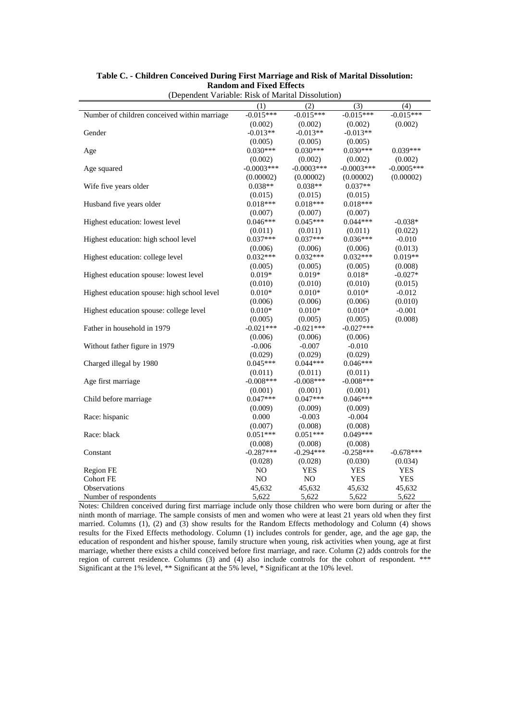| (Dependent Variable, Risk of Maritan Dissolution) |                |              |               |              |
|---------------------------------------------------|----------------|--------------|---------------|--------------|
|                                                   | (1)            | (2)          | (3)           | (4)          |
| Number of children conceived within marriage      | $-0.015***$    | $-0.015***$  | $-0.015***$   | $-0.015***$  |
|                                                   | (0.002)        | (0.002)      | (0.002)       | (0.002)      |
| Gender                                            | $-0.013**$     | $-0.013**$   | $-0.013**$    |              |
|                                                   | (0.005)        | (0.005)      | (0.005)       |              |
| Age                                               | $0.030***$     | $0.030***$   | $0.030***$    | $0.039***$   |
|                                                   | (0.002)        | (0.002)      | (0.002)       | (0.002)      |
| Age squared                                       | $-0.0003$ ***  | $-0.0003***$ | $-0.0003$ *** | $-0.0005***$ |
|                                                   | (0.00002)      | (0.00002)    | (0.00002)     | (0.00002)    |
| Wife five years older                             | $0.038**$      | $0.038**$    | $0.037**$     |              |
|                                                   | (0.015)        | (0.015)      | (0.015)       |              |
| Husband five years older                          | $0.018***$     | $0.018***$   | $0.018***$    |              |
|                                                   | (0.007)        | (0.007)      | (0.007)       |              |
| Highest education: lowest level                   | $0.046***$     | $0.045***$   | $0.044***$    | $-0.038*$    |
|                                                   | (0.011)        | (0.011)      | (0.011)       | (0.022)      |
| Highest education: high school level              | $0.037***$     | $0.037***$   | $0.036***$    | $-0.010$     |
|                                                   | (0.006)        | (0.006)      | (0.006)       | (0.013)      |
| Highest education: college level                  | $0.032***$     | $0.032***$   | $0.032***$    | $0.019**$    |
|                                                   | (0.005)        | (0.005)      | (0.005)       | (0.008)      |
| Highest education spouse: lowest level            | $0.019*$       | $0.019*$     | $0.018*$      | $-0.027*$    |
|                                                   | (0.010)        | (0.010)      | (0.010)       | (0.015)      |
| Highest education spouse: high school level       | $0.010*$       | $0.010*$     | $0.010*$      | $-0.012$     |
|                                                   | (0.006)        | (0.006)      | (0.006)       | (0.010)      |
| Highest education spouse: college level           | $0.010*$       | $0.010*$     | $0.010*$      | $-0.001$     |
|                                                   | (0.005)        | (0.005)      | (0.005)       | (0.008)      |
| Father in household in 1979                       | $-0.021***$    | $-0.021***$  | $-0.027***$   |              |
|                                                   | (0.006)        | (0.006)      | (0.006)       |              |
| Without father figure in 1979                     | $-0.006$       | $-0.007$     | $-0.010$      |              |
|                                                   | (0.029)        | (0.029)      | (0.029)       |              |
| Charged illegal by 1980                           | $0.045***$     | $0.044***$   | $0.046***$    |              |
|                                                   | (0.011)        | (0.011)      | (0.011)       |              |
| Age first marriage                                | $-0.008***$    | $-0.008***$  | $-0.008***$   |              |
|                                                   | (0.001)        | (0.001)      | (0.001)       |              |
| Child before marriage                             | $0.047***$     | $0.047***$   | $0.046***$    |              |
|                                                   | (0.009)        | (0.009)      | (0.009)       |              |
| Race: hispanic                                    | 0.000          | $-0.003$     | $-0.004$      |              |
|                                                   | (0.007)        | (0.008)      | (0.008)       |              |
| Race: black                                       | $0.051***$     | $0.051***$   | $0.049***$    |              |
|                                                   | (0.008)        | (0.008)      | (0.008)       |              |
| Constant                                          | $-0.287***$    | $-0.294***$  | $-0.258***$   | $-0.678***$  |
|                                                   | (0.028)        | (0.028)      | (0.030)       | (0.034)      |
| Region FE                                         | N <sub>O</sub> | <b>YES</b>   | <b>YES</b>    | <b>YES</b>   |
| Cohort FE                                         | NO             | NO           | <b>YES</b>    | <b>YES</b>   |
| Observations                                      | 45,632         | 45,632       | 45,632        | 45,632       |
| Number of respondents                             | 5,622          | 5,622        | 5,622         | 5,622        |

#### **Table C. - Children Conceived During First Marriage and Risk of Marital Dissolution: Random and Fixed Effects** (Dependent Variable: Risk of Marital Dissolution)

Notes: Children conceived during first marriage include only those children who were born during or after the ninth month of marriage. The sample consists of men and women who were at least 21 years old when they first married. Columns (1), (2) and (3) show results for the Random Effects methodology and Column (4) shows results for the Fixed Effects methodology. Column (1) includes controls for gender, age, and the age gap, the education of respondent and his/her spouse, family structure when young, risk activities when young, age at first marriage, whether there exists a child conceived before first marriage, and race. Column (2) adds controls for the region of current residence. Columns (3) and (4) also include controls for the cohort of respondent. \*\*\* Significant at the 1% level, \*\* Significant at the 5% level, \* Significant at the 10% level.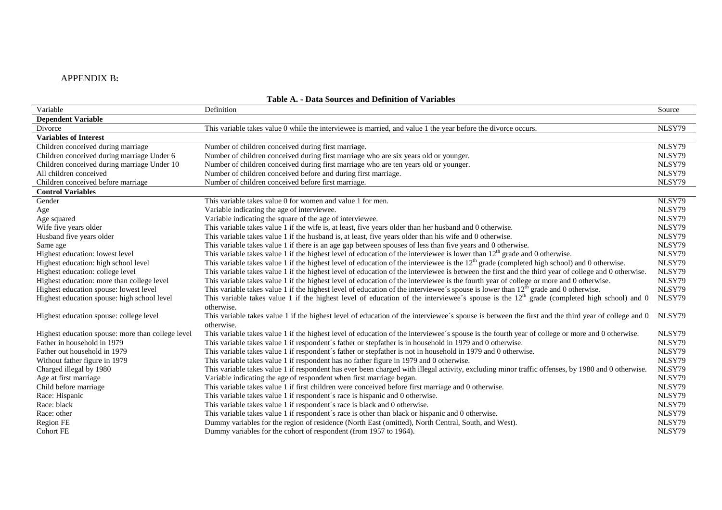### APPENDIX B**:**

| Variable                                          | Definition                                                                                                                                                       | Source |
|---------------------------------------------------|------------------------------------------------------------------------------------------------------------------------------------------------------------------|--------|
| <b>Dependent Variable</b>                         |                                                                                                                                                                  |        |
| Divorce                                           | This variable takes value 0 while the interviewee is married, and value 1 the year before the divorce occurs.                                                    | NLSY79 |
| Variables of Interest                             |                                                                                                                                                                  |        |
| Children conceived during marriage                | Number of children conceived during first marriage.                                                                                                              | NLSY79 |
| Children conceived during marriage Under 6        | Number of children conceived during first marriage who are six years old or younger.                                                                             | NLSY79 |
| Children conceived during marriage Under 10       | Number of children conceived during first marriage who are ten years old or younger.                                                                             | NLSY79 |
| All children conceived                            | Number of children conceived before and during first marriage.                                                                                                   | NLSY79 |
| Children conceived before marriage                | Number of children conceived before first marriage.                                                                                                              | NLSY79 |
| <b>Control Variables</b>                          |                                                                                                                                                                  |        |
| Gender                                            | This variable takes value 0 for women and value 1 for men.                                                                                                       | NLSY79 |
| Age                                               | Variable indicating the age of interviewee.                                                                                                                      | NLSY79 |
| Age squared                                       | Variable indicating the square of the age of interviewee.                                                                                                        | NLSY79 |
| Wife five years older                             | This variable takes value 1 if the wife is, at least, five years older than her husband and 0 otherwise.                                                         | NLSY79 |
| Husband five years older                          | This variable takes value 1 if the husband is, at least, five years older than his wife and 0 otherwise.                                                         | NLSY79 |
| Same age                                          | This variable takes value 1 if there is an age gap between spouses of less than five years and 0 otherwise.                                                      | NLSY79 |
| Highest education: lowest level                   | This variable takes value 1 if the highest level of education of the interviewee is lower than $12th$ grade and 0 otherwise.                                     | NLSY79 |
| Highest education: high school level              | This variable takes value 1 if the highest level of education of the interviewee is the $12th$ grade (completed high school) and 0 otherwise.                    | NLSY79 |
| Highest education: college level                  | This variable takes value 1 if the highest level of education of the interviewee is between the first and the third year of college and 0 otherwise.             | NLSY79 |
| Highest education: more than college level        | This variable takes value 1 if the highest level of education of the interviewee is the fourth year of college or more and 0 otherwise.                          | NLSY79 |
| Highest education spouse: lowest level            | This variable takes value 1 if the highest level of education of the interviewee's spouse is lower than $12th$ grade and 0 otherwise.                            | NLSY79 |
| Highest education spouse: high school level       | This variable takes value 1 if the highest level of education of the interviewee's spouse is the $12th$ grade (completed high school) and 0<br>otherwise.        | NLSY79 |
| Highest education spouse: college level           | This variable takes value 1 if the highest level of education of the interviewee's spouse is between the first and the third year of college and 0<br>otherwise. | NLSY79 |
| Highest education spouse: more than college level | This variable takes value 1 if the highest level of education of the interviewee's spouse is the fourth year of college or more and 0 otherwise.                 | NLSY79 |
| Father in household in 1979                       | This variable takes value 1 if respondent's father or stepfather is in household in 1979 and 0 otherwise.                                                        | NLSY79 |
| Father out household in 1979                      | This variable takes value 1 if respondent's father or stepfather is not in household in 1979 and 0 otherwise.                                                    | NLSY79 |
| Without father figure in 1979                     | This variable takes value 1 if respondent has no father figure in 1979 and 0 otherwise.                                                                          | NLSY79 |
| Charged illegal by 1980                           | This variable takes value 1 if respondent has ever been charged with illegal activity, excluding minor traffic offenses, by 1980 and 0 otherwise.                | NLSY79 |
| Age at first marriage                             | Variable indicating the age of respondent when first marriage began.                                                                                             | NLSY79 |
| Child before marriage                             | This variable takes value 1 if first children were conceived before first marriage and 0 otherwise.                                                              | NLSY79 |
| Race: Hispanic                                    | This variable takes value 1 if respondent's race is hispanic and 0 otherwise.                                                                                    | NLSY79 |
| Race: black                                       | This variable takes value 1 if respondent's race is black and 0 otherwise.                                                                                       | NLSY79 |
| Race: other                                       | This variable takes value 1 if respondent's race is other than black or hispanic and 0 otherwise.                                                                | NLSY79 |
| Region FE                                         | Dummy variables for the region of residence (North East (omitted), North Central, South, and West).                                                              | NLSY79 |
| <b>Cohort FE</b>                                  | Dummy variables for the cohort of respondent (from 1957 to 1964).                                                                                                | NLSY79 |

### **Table A. - Data Sources and Definition of Variables**

÷.